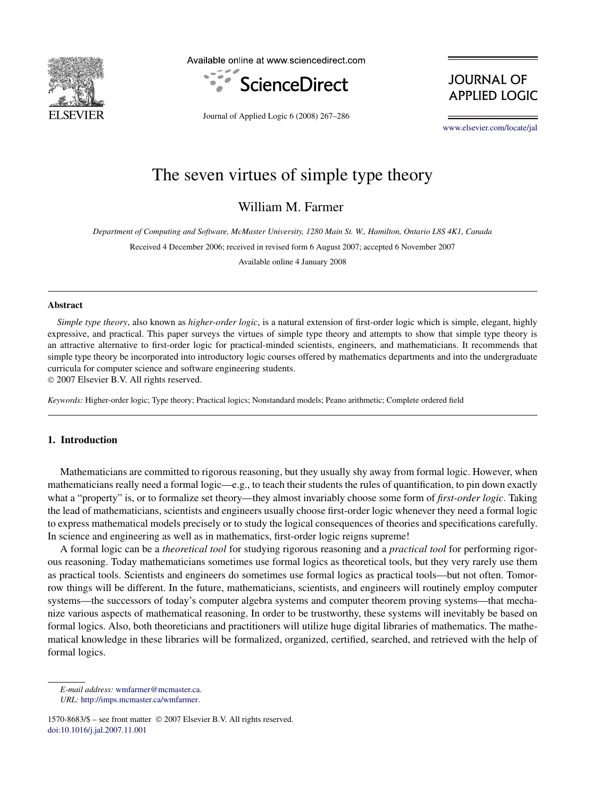

Available online at www.sciencedirect.com



**JOURNAL OF APPLIED LOGIC** 

Journal of Applied Logic 6 (2008) 267–286

[www.elsevier.com/locate/jal](http://www.elsevier.com/locate/jal)

# The seven virtues of simple type theory

William M. Farmer

*Department of Computing and Software, McMaster University, 1280 Main St. W., Hamilton, Ontario L8S 4K1, Canada*

Received 4 December 2006; received in revised form 6 August 2007; accepted 6 November 2007

Available online 4 January 2008

## **Abstract**

*Simple type theory*, also known as *higher-order logic*, is a natural extension of first-order logic which is simple, elegant, highly expressive, and practical. This paper surveys the virtues of simple type theory and attempts to show that simple type theory is an attractive alternative to first-order logic for practical-minded scientists, engineers, and mathematicians. It recommends that simple type theory be incorporated into introductory logic courses offered by mathematics departments and into the undergraduate curricula for computer science and software engineering students.

© 2007 Elsevier B.V. All rights reserved.

*Keywords:* Higher-order logic; Type theory; Practical logics; Nonstandard models; Peano arithmetic; Complete ordered field

# **1. Introduction**

Mathematicians are committed to rigorous reasoning, but they usually shy away from formal logic. However, when mathematicians really need a formal logic—e.g., to teach their students the rules of quantification, to pin down exactly what a "property" is, or to formalize set theory—they almost invariably choose some form of *first-order logic*. Taking the lead of mathematicians, scientists and engineers usually choose first-order logic whenever they need a formal logic to express mathematical models precisely or to study the logical consequences of theories and specifications carefully. In science and engineering as well as in mathematics, first-order logic reigns supreme!

A formal logic can be a *theoretical tool* for studying rigorous reasoning and a *practical tool* for performing rigorous reasoning. Today mathematicians sometimes use formal logics as theoretical tools, but they very rarely use them as practical tools. Scientists and engineers do sometimes use formal logics as practical tools—but not often. Tomorrow things will be different. In the future, mathematicians, scientists, and engineers will routinely employ computer systems—the successors of today's computer algebra systems and computer theorem proving systems—that mechanize various aspects of mathematical reasoning. In order to be trustworthy, these systems will inevitably be based on formal logics. Also, both theoreticians and practitioners will utilize huge digital libraries of mathematics. The mathematical knowledge in these libraries will be formalized, organized, certified, searched, and retrieved with the help of formal logics.

*E-mail address:* [wmfarmer@mcmaster.ca.](mailto:wmfarmer@mcmaster.ca)

*URL:* [http://imps.mcmaster.ca/wmfarmer.](http://imps.mcmaster.ca/wmfarmer)

<sup>1570-8683/\$ –</sup> see front matter © 2007 Elsevier B.V. All rights reserved. [doi:10.1016/j.jal.2007.11.001](http://dx.doi.org/10.1016/j.jal.2007.11.001)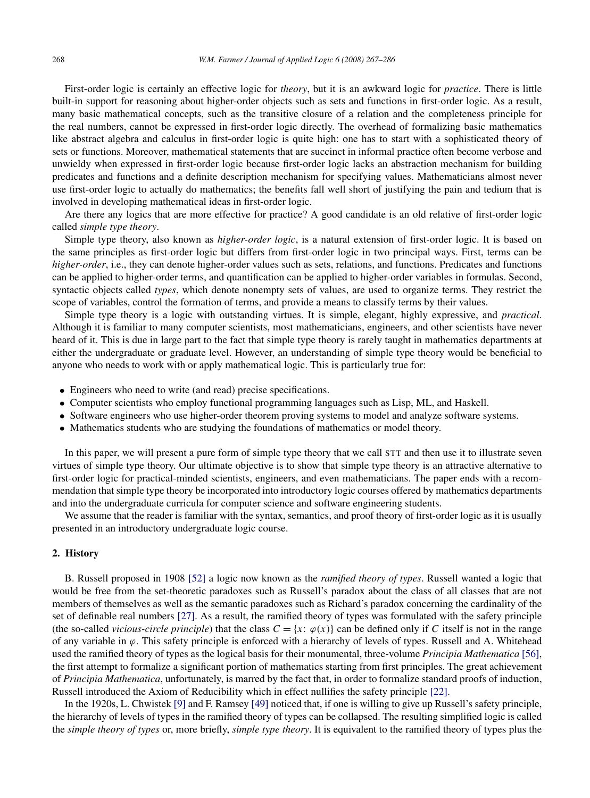First-order logic is certainly an effective logic for *theory*, but it is an awkward logic for *practice*. There is little built-in support for reasoning about higher-order objects such as sets and functions in first-order logic. As a result, many basic mathematical concepts, such as the transitive closure of a relation and the completeness principle for the real numbers, cannot be expressed in first-order logic directly. The overhead of formalizing basic mathematics like abstract algebra and calculus in first-order logic is quite high: one has to start with a sophisticated theory of sets or functions. Moreover, mathematical statements that are succinct in informal practice often become verbose and unwieldy when expressed in first-order logic because first-order logic lacks an abstraction mechanism for building predicates and functions and a definite description mechanism for specifying values. Mathematicians almost never use first-order logic to actually do mathematics; the benefits fall well short of justifying the pain and tedium that is involved in developing mathematical ideas in first-order logic.

Are there any logics that are more effective for practice? A good candidate is an old relative of first-order logic called *simple type theory*.

Simple type theory, also known as *higher-order logic*, is a natural extension of first-order logic. It is based on the same principles as first-order logic but differs from first-order logic in two principal ways. First, terms can be *higher-order*, i.e., they can denote higher-order values such as sets, relations, and functions. Predicates and functions can be applied to higher-order terms, and quantification can be applied to higher-order variables in formulas. Second, syntactic objects called *types*, which denote nonempty sets of values, are used to organize terms. They restrict the scope of variables, control the formation of terms, and provide a means to classify terms by their values.

Simple type theory is a logic with outstanding virtues. It is simple, elegant, highly expressive, and *practical*. Although it is familiar to many computer scientists, most mathematicians, engineers, and other scientists have never heard of it. This is due in large part to the fact that simple type theory is rarely taught in mathematics departments at either the undergraduate or graduate level. However, an understanding of simple type theory would be beneficial to anyone who needs to work with or apply mathematical logic. This is particularly true for:

- Engineers who need to write (and read) precise specifications.
- Computer scientists who employ functional programming languages such as Lisp, ML, and Haskell.
- Software engineers who use higher-order theorem proving systems to model and analyze software systems.
- Mathematics students who are studying the foundations of mathematics or model theory.

In this paper, we will present a pure form of simple type theory that we call STT and then use it to illustrate seven virtues of simple type theory. Our ultimate objective is to show that simple type theory is an attractive alternative to first-order logic for practical-minded scientists, engineers, and even mathematicians. The paper ends with a recommendation that simple type theory be incorporated into introductory logic courses offered by mathematics departments and into the undergraduate curricula for computer science and software engineering students.

We assume that the reader is familiar with the syntax, semantics, and proof theory of first-order logic as it is usually presented in an introductory undergraduate logic course.

# **2. History**

B. Russell proposed in 1908 [\[52\]](#page-19-0) a logic now known as the *ramified theory of types*. Russell wanted a logic that would be free from the set-theoretic paradoxes such as Russell's paradox about the class of all classes that are not members of themselves as well as the semantic paradoxes such as Richard's paradox concerning the cardinality of the set of definable real numbers [\[27\].](#page-19-0) As a result, the ramified theory of types was formulated with the safety principle (the so-called *vicious-circle principle*) that the class  $C = \{x : \varphi(x)\}$  can be defined only if *C* itself is not in the range of any variable in *ϕ*. This safety principle is enforced with a hierarchy of levels of types. Russell and A. Whitehead used the ramified theory of types as the logical basis for their monumental, three-volume *Principia Mathematica* [\[56\],](#page-19-0) the first attempt to formalize a significant portion of mathematics starting from first principles. The great achievement of *Principia Mathematica*, unfortunately, is marred by the fact that, in order to formalize standard proofs of induction, Russell introduced the Axiom of Reducibility which in effect nullifies the safety principle [\[22\].](#page-19-0)

In the 1920s, L. Chwistek [\[9\]](#page-18-0) and F. Ramsey [\[49\]](#page-19-0) noticed that, if one is willing to give up Russell's safety principle, the hierarchy of levels of types in the ramified theory of types can be collapsed. The resulting simplified logic is called the *simple theory of types* or, more briefly, *simple type theory*. It is equivalent to the ramified theory of types plus the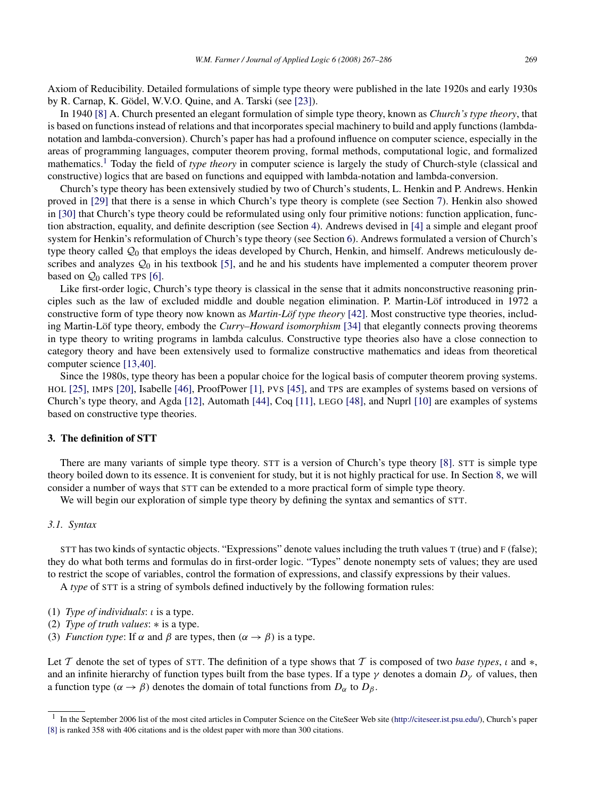<span id="page-2-0"></span>Axiom of Reducibility. Detailed formulations of simple type theory were published in the late 1920s and early 1930s by R. Carnap, K. Gödel, W.V.O. Quine, and A. Tarski (see [\[23\]\)](#page-19-0).

In 1940 [\[8\]](#page-18-0) A. Church presented an elegant formulation of simple type theory, known as *Church's type theory*, that is based on functions instead of relations and that incorporates special machinery to build and apply functions (lambdanotation and lambda-conversion). Church's paper has had a profound influence on computer science, especially in the areas of programming languages, computer theorem proving, formal methods, computational logic, and formalized mathematics.<sup>1</sup> Today the field of *type theory* in computer science is largely the study of Church-style (classical and constructive) logics that are based on functions and equipped with lambda-notation and lambda-conversion.

Church's type theory has been extensively studied by two of Church's students, L. Henkin and P. Andrews. Henkin proved in [\[29\]](#page-19-0) that there is a sense in which Church's type theory is complete (see Section [7\)](#page-12-0). Henkin also showed in [\[30\]](#page-19-0) that Church's type theory could be reformulated using only four primitive notions: function application, function abstraction, equality, and definite description (see Section [4\)](#page-6-0). Andrews devised in [\[4\]](#page-18-0) a simple and elegant proof system for Henkin's reformulation of Church's type theory (see Section [6\)](#page-10-0). Andrews formulated a version of Church's type theory called  $\mathcal{Q}_0$  that employs the ideas developed by Church, Henkin, and himself. Andrews meticulously describes and analyzes  $\mathcal{Q}_0$  in his textbook [\[5\],](#page-18-0) and he and his students have implemented a computer theorem prover based on  $Q_0$  called TPS [\[6\].](#page-18-0)

Like first-order logic, Church's type theory is classical in the sense that it admits nonconstructive reasoning principles such as the law of excluded middle and double negation elimination. P. Martin-Löf introduced in 1972 a constructive form of type theory now known as *Martin-Löf type theory* [\[42\].](#page-19-0) Most constructive type theories, including Martin-Löf type theory, embody the *Curry–Howard isomorphism* [\[34\]](#page-19-0) that elegantly connects proving theorems in type theory to writing programs in lambda calculus. Constructive type theories also have a close connection to category theory and have been extensively used to formalize constructive mathematics and ideas from theoretical computer science [\[13,40\].](#page-19-0)

Since the 1980s, type theory has been a popular choice for the logical basis of computer theorem proving systems. HOL [\[25\],](#page-19-0) IMPS [\[20\],](#page-19-0) Isabelle [\[46\],](#page-19-0) ProofPower [\[1\],](#page-18-0) PVS [\[45\],](#page-19-0) and TPS are examples of systems based on versions of Church's type theory, and Agda [\[12\],](#page-19-0) Automath [\[44\],](#page-19-0) Coq [\[11\],](#page-19-0) LEGO [\[48\],](#page-19-0) and Nuprl [\[10\]](#page-18-0) are examples of systems based on constructive type theories.

# **3. The definition of STT**

There are many variants of simple type theory. STT is a version of Church's type theory [\[8\].](#page-18-0) STT is simple type theory boiled down to its essence. It is convenient for study, but it is not highly practical for use. In Section [8,](#page-14-0) we will consider a number of ways that STT can be extended to a more practical form of simple type theory.

We will begin our exploration of simple type theory by defining the syntax and semantics of STT.

## *3.1. Syntax*

STT has two kinds of syntactic objects. "Expressions" denote values including the truth values T (true) and F (false); they do what both terms and formulas do in first-order logic. "Types" denote nonempty sets of values; they are used to restrict the scope of variables, control the formation of expressions, and classify expressions by their values.

A *type* of STT is a string of symbols defined inductively by the following formation rules:

- (1) *Type of individuals*: *ι* is a type.
- (2) *Type of truth values*: ∗ is a type.
- (3) *Function type*: If  $\alpha$  and  $\beta$  are types, then  $(\alpha \rightarrow \beta)$  is a type.

Let T denote the set of types of STT. The definition of a type shows that T is composed of two *base types*, *i* and  $*$ , and an infinite hierarchy of function types built from the base types. If a type  $\gamma$  denotes a domain  $D_{\gamma}$  of values, then a function type  $(\alpha \rightarrow \beta)$  denotes the domain of total functions from  $D_{\alpha}$  to  $D_{\beta}$ .

<sup>&</sup>lt;sup>1</sup> In the September 2006 list of the most cited articles in Computer Science on the CiteSeer Web site [\(http://citeseer.ist.psu.edu/](http://citeseer.ist.psu.edu/)), Church's paper [\[8\]](#page-18-0) is ranked 358 with 406 citations and is the oldest paper with more than 300 citations.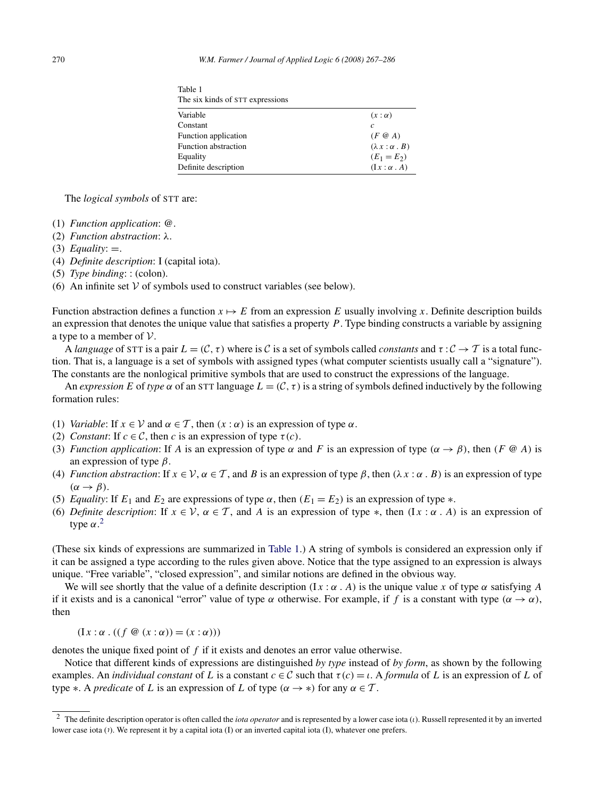| THE SIA KINGS OF STT CAPICSSIONS |                          |  |
|----------------------------------|--------------------------|--|
| Variable                         | $(x : \alpha)$           |  |
| Constant                         | C                        |  |
| Function application             | $(F \otimes A)$          |  |
| Function abstraction             | $(\lambda x : \alpha B)$ |  |
| Equality                         | $(E_1 = E_2)$            |  |
| Definite description             | $(Ix : \alpha A)$        |  |

Table 1 The six kinds of STT expressions

The *logical symbols* of STT are:

- (1) *Function application*: @.
- (2) *Function abstraction*: *λ*.
- $(3)$  *Equality*:  $=$ .
- (4) *Definite description*: I (capital iota).

(5) *Type binding*: : (colon).

(6) An infinite set  $V$  of symbols used to construct variables (see below).

Function abstraction defines a function  $x \mapsto E$  from an expression E usually involving x. Definite description builds an expression that denotes the unique value that satisfies a property *P* . Type binding constructs a variable by assigning a type to a member of  $\mathcal V$ .

A *language* of STT is a pair  $L = (\mathcal{C}, \tau)$  where is C is a set of symbols called *constants* and  $\tau : \mathcal{C} \to \mathcal{T}$  is a total function. That is, a language is a set of symbols with assigned types (what computer scientists usually call a "signature"). The constants are the nonlogical primitive symbols that are used to construct the expressions of the language.

An *expression E* of *type*  $\alpha$  of an STT language  $L = (\mathcal{C}, \tau)$  is a string of symbols defined inductively by the following formation rules:

- (1) *Variable*: If  $x \in V$  and  $\alpha \in T$ , then  $(x : \alpha)$  is an expression of type  $\alpha$ .
- (2) *Constant*: If  $c \in C$ , then *c* is an expression of type  $\tau(c)$ .
- (3) *Function application*: If *A* is an expression of type  $\alpha$  and *F* is an expression of type  $(\alpha \rightarrow \beta)$ , then  $(F \otimes A)$  is an expression of type *β*.
- (4) *Function abstraction*: If  $x \in V$ ,  $\alpha \in T$ , and *B* is an expression of type  $\beta$ , then  $(\lambda x : \alpha \cdot B)$  is an expression of type  $(\alpha \rightarrow \beta)$ .
- (5) *Equality*: If  $E_1$  and  $E_2$  are expressions of type  $\alpha$ , then  $(E_1 = E_2)$  is an expression of type  $\ast$ .
- (6) *Definite description*: If  $x \in V$ ,  $\alpha \in T$ , and *A* is an expression of type  $*$ , then  $(Ix : \alpha \cdot A)$  is an expression of type *α*. 2

(These six kinds of expressions are summarized in Table 1.) A string of symbols is considered an expression only if it can be assigned a type according to the rules given above. Notice that the type assigned to an expression is always unique. "Free variable", "closed expression", and similar notions are defined in the obvious way.

We will see shortly that the value of a definite description  $(Ix : \alpha \cdot A)$  is the unique value x of type  $\alpha$  satisfying A if it exists and is a canonical "error" value of type  $\alpha$  otherwise. For example, if f is a constant with type  $(\alpha \to \alpha)$ , then

 $(I x : \alpha \cdot ((f \otimes (x : \alpha)) = (x : \alpha)))$ 

denotes the unique fixed point of *f* if it exists and denotes an error value otherwise.

Notice that different kinds of expressions are distinguished *by type* instead of *by form*, as shown by the following examples. An *individual constant* of *L* is a constant  $c \in \mathcal{C}$  such that  $\tau(c) = i$ . A *formula* of *L* is an expression of *L* of type  $\ast$ . A *predicate* of *L* is an expression of *L* of type  $(\alpha \rightarrow \ast)$  for any  $\alpha \in \mathcal{T}$ .

<sup>2</sup> The definite description operator is often called the *iota operator* and is represented by a lower case iota (*ι*). Russell represented it by an inverted lower case iota ( *<sup>ι</sup>* ). We represent it by a capital iota (I) or an inverted capital iota (I), whatever one prefers.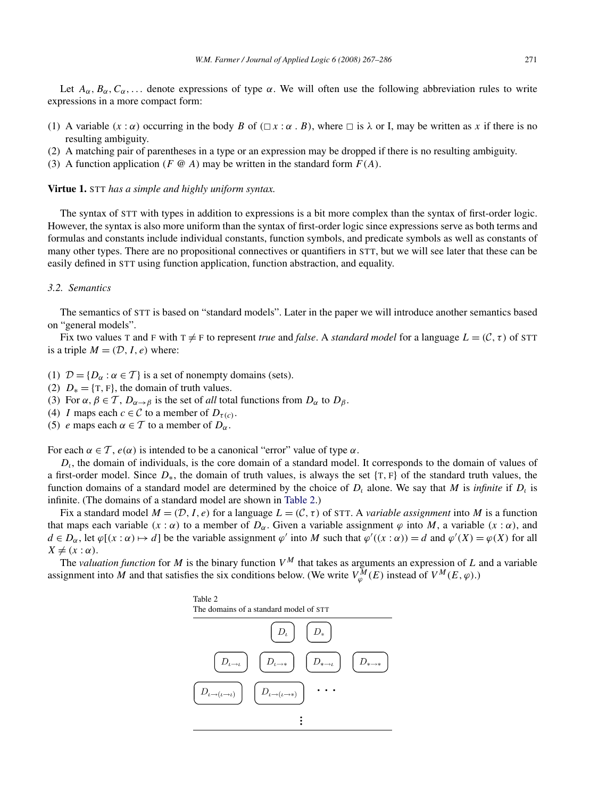<span id="page-4-0"></span>Let  $A_\alpha, B_\alpha, C_\alpha, \ldots$  denote expressions of type  $\alpha$ . We will often use the following abbreviation rules to write expressions in a more compact form:

- (1) A variable  $(x : \alpha)$  occurring in the body *B* of  $(\Box x : \alpha \cdot B)$ , where  $\Box$  is  $\lambda$  or I, may be written as *x* if there is no resulting ambiguity.
- (2) A matching pair of parentheses in a type or an expression may be dropped if there is no resulting ambiguity.
- (3) A function application *(F* @ *A)* may be written in the standard form *F(A)*.

# **Virtue 1.** STT *has a simple and highly uniform syntax.*

The syntax of STT with types in addition to expressions is a bit more complex than the syntax of first-order logic. However, the syntax is also more uniform than the syntax of first-order logic since expressions serve as both terms and formulas and constants include individual constants, function symbols, and predicate symbols as well as constants of many other types. There are no propositional connectives or quantifiers in STT, but we will see later that these can be easily defined in STT using function application, function abstraction, and equality.

# *3.2. Semantics*

The semantics of STT is based on "standard models". Later in the paper we will introduce another semantics based on "general models".

Fix two values T and F with  $T \neq F$  to represent *true* and *false*. A *standard model* for a language  $L = (\mathcal{C}, \tau)$  of STT is a triple  $M = (\mathcal{D}, I, e)$  where:

- (1)  $\mathcal{D} = \{D_{\alpha} : \alpha \in \mathcal{T}\}\$ is a set of nonempty domains (sets).
- (2)  $D_* = \{T, F\}$ , the domain of truth values.
- (3) For  $\alpha, \beta \in \mathcal{T}$ ,  $D_{\alpha \to \beta}$  is the set of *all* total functions from  $D_{\alpha}$  to  $D_{\beta}$ .
- (4) *I* maps each  $c \in \mathcal{C}$  to a member of  $D_{\tau(c)}$ .
- (5) *e* maps each  $\alpha \in \mathcal{T}$  to a member of  $D_{\alpha}$ .

For each  $\alpha \in \mathcal{T}$ ,  $e(\alpha)$  is intended to be a canonical "error" value of type  $\alpha$ .

*Dι*, the domain of individuals, is the core domain of a standard model. It corresponds to the domain of values of a first-order model. Since *D*∗, the domain of truth values, is always the set {T*,* F} of the standard truth values, the function domains of a standard model are determined by the choice of *Dι* alone. We say that *M* is *infinite* if *Dι* is infinite. (The domains of a standard model are shown in Table 2.)

Fix a standard model  $M = (\mathcal{D}, I, e)$  for a language  $L = (\mathcal{C}, \tau)$  of STT. A *variable assignment* into M is a function that maps each variable  $(x : \alpha)$  to a member of  $D_{\alpha}$ . Given a variable assignment  $\varphi$  into M, a variable  $(x : \alpha)$ , and  $d \in D_\alpha$ , let  $\varphi[(x : \alpha) \mapsto d]$  be the variable assignment  $\varphi'$  into *M* such that  $\varphi'((x : \alpha)) = d$  and  $\varphi'(X) = \varphi(X)$  for all  $X \neq (x : \alpha)$ .

The *valuation function* for *M* is the binary function  $V^M$  that takes as arguments an expression of *L* and a variable assignment into *M* and that satisfies the six conditions below. (We write  $V^M_\varphi(E)$  instead of  $V^M(E,\varphi)$ .)

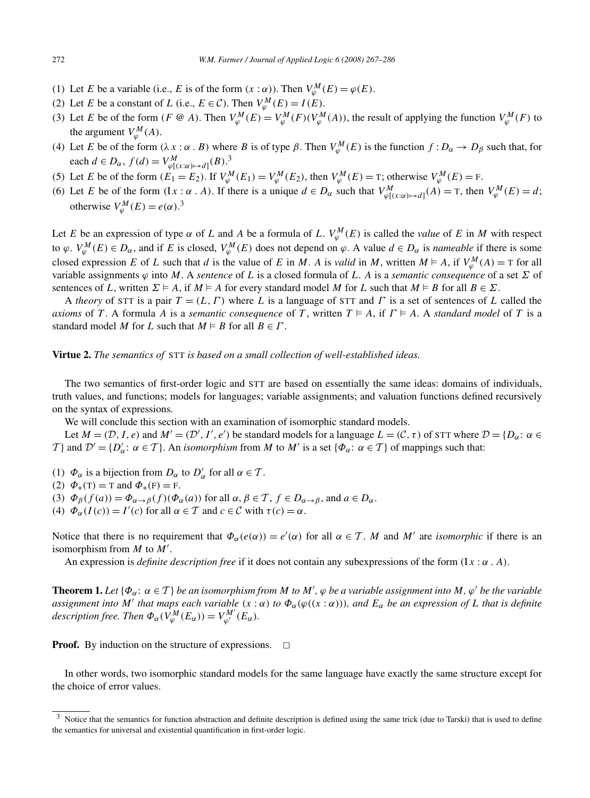- (1) Let *E* be a variable (i.e., *E* is of the form  $(x : \alpha)$ ). Then  $V_{\varphi}^{M}(E) = \varphi(E)$ .
- (2) Let *E* be a constant of *L* (i.e.,  $E \in C$ ). Then  $V_{\varphi}^{M}(E) = I(E)$ .
- (3) Let E be of the form  $(F \otimes A)$ . Then  $V^M_\varphi(E) = V^M_\varphi(F)(V^M_\varphi(A))$ , the result of applying the function  $V^M_\varphi(F)$  to the argument  $V_{\varphi}^M(A)$ .
- (4) Let *E* be of the form  $(\lambda x : \alpha \cdot B)$  where *B* is of type  $\beta$ . Then  $V_{\varphi}^M(E)$  is the function  $f: D_{\alpha} \to D_{\beta}$  such that, for each  $d \in D_{\alpha}$ ,  $f(d) = V_{\varphi[(x:\alpha) \mapsto d]}^{M}(B)$ .<sup>3</sup>
- (5) Let E be of the form  $(E_1 = E_2)$ . If  $V_{\varphi}^M(E_1) = V_{\varphi}^M(E_2)$ , then  $V_{\varphi}^M(E) = \tau$ ; otherwise  $V_{\varphi}^M(E) = \mathbb{F}$ .
- (6) Let E be of the form  $(Ix : \alpha \cdot A)$ . If there is a unique  $d \in D_{\alpha}$  such that  $V_{\varphi[(x:\alpha)\mapsto d]}^{M}(A) = T$ , then  $V_{\varphi}^{M}(E) = d$ ; otherwise  $V_{\varphi}^{M}(E) = e(\alpha).^{3}$

Let *E* be an expression of type  $\alpha$  of *L* and *A* be a formula of *L*.  $V_{\varphi}^{M}(E)$  is called the *value* of *E* in *M* with respect to  $\varphi$ .  $V_{\varphi}^{M}(E) \in D_{\alpha}$ , and if *E* is closed,  $V_{\varphi}^{M}(E)$  does not depend on  $\varphi$ . A value  $d \in D_{\alpha}$  is *nameable* if there is some closed expression *E* of *L* such that *d* is the value of *E* in *M*. *A* is *valid* in *M*, written  $M \models A$ , if  $V_{\varphi}^{M}(A) = T$  for all variable assignments *ϕ* into *M*. A *sentence* of *L* is a closed formula of *L*. *A* is a *semantic consequence* of a set *Σ* of sentences of *L*, written  $\Sigma \models A$ , if  $M \models A$  for every standard model *M* for *L* such that  $M \models B$  for all  $B \in \Sigma$ .

A *theory* of STT is a pair  $T = (L, \Gamma)$  where L is a language of STT and  $\Gamma$  is a set of sentences of L called the *axioms* of *T*. A formula *A* is a *semantic consequence* of *T*, written  $T \models A$ , if  $\Gamma \models A$ . A *standard model* of *T* is a standard model *M* for *L* such that  $M \models B$  for all  $B \in \Gamma$ .

#### **Virtue 2.** *The semantics of* STT *is based on a small collection of well-established ideas.*

The two semantics of first-order logic and STT are based on essentially the same ideas: domains of individuals, truth values, and functions; models for languages; variable assignments; and valuation functions defined recursively on the syntax of expressions.

We will conclude this section with an examination of isomorphic standard models.

Let  $M = (\mathcal{D}, I, e)$  and  $M' = (\mathcal{D}', I', e')$  be standard models for a language  $L = (\mathcal{C}, \tau)$  of STT where  $\mathcal{D} = \{D_{\alpha}: \alpha \in \mathcal{C} \}$ T } and  $\mathcal{D}' = \{D'_\alpha : \alpha \in \mathcal{T}\}\$ . An *isomorphism* from *M* to *M'* is a set  $\{\Phi_\alpha : \alpha \in \mathcal{T}\}\$  of mappings such that:

- (1)  $\Phi_{\alpha}$  is a bijection from  $D_{\alpha}$  to  $D'_{\alpha}$  for all  $\alpha \in \mathcal{T}$ .
- (2)  $\Phi_*(T) = T$  and  $\Phi_*(F) = F$ .
- (3)  $\Phi_{\beta}(f(a)) = \Phi_{\alpha \to \beta}(f)(\Phi_{\alpha}(a))$  for all  $\alpha, \beta \in \mathcal{T}, f \in D_{\alpha \to \beta}$ , and  $a \in D_{\alpha}$ .
- (4)  $\Phi_{\alpha}(I(c)) = I'(c)$  for all  $\alpha \in \mathcal{T}$  and  $c \in \mathcal{C}$  with  $\tau(c) = \alpha$ .

Notice that there is no requirement that  $\Phi_{\alpha}(e(\alpha)) = e'(\alpha)$  for all  $\alpha \in \mathcal{T}$ . *M* and *M'* are *isomorphic* if there is an isomorphism from *M* to *M* .

An expression is *definite description free* if it does not contain any subexpressions of the form *(*I *x* : *α . A)*.

**Theorem 1.** Let  $\{\Phi_\alpha: \alpha \in \mathcal{T}\}$  be an isomorphism from M to M',  $\varphi$  be a variable assignment into M,  $\varphi'$  be the variable *assignment into M' that maps each variable*  $(x:\alpha)$  *to*  $\Phi_{\alpha}(\varphi((x:\alpha)))$ *, and*  $E_{\alpha}$  *be an expression of L that is definite*  $\phi_{\alpha}(V_{\varphi}^{M}(E_{\alpha})) = V_{\varphi'}^{M'}(E_{\alpha}).$ 

**Proof.** By induction on the structure of expressions.  $\Box$ 

In other words, two isomorphic standard models for the same language have exactly the same structure except for the choice of error values.

 $3$  Notice that the semantics for function abstraction and definite description is defined using the same trick (due to Tarski) that is used to define the semantics for universal and existential quantification in first-order logic.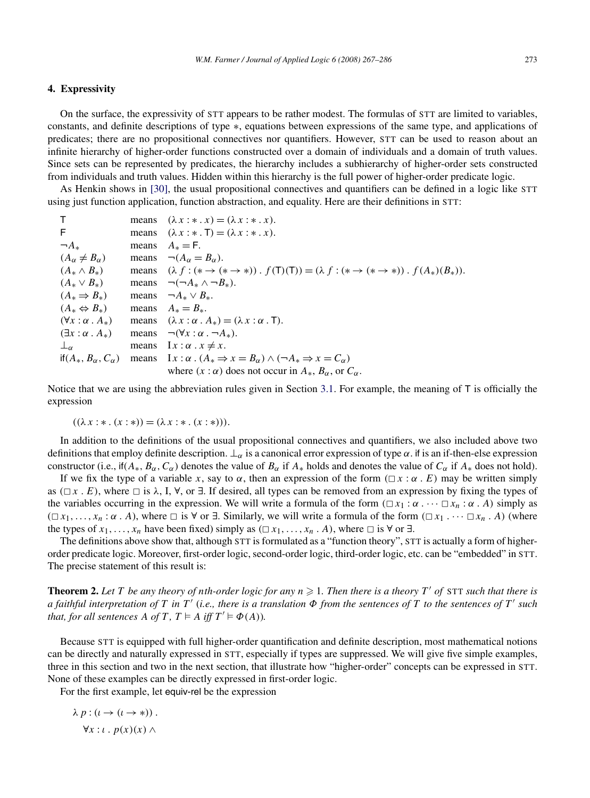## <span id="page-6-0"></span>**4. Expressivity**

On the surface, the expressivity of STT appears to be rather modest. The formulas of STT are limited to variables, constants, and definite descriptions of type ∗, equations between expressions of the same type, and applications of predicates; there are no propositional connectives nor quantifiers. However, STT can be used to reason about an infinite hierarchy of higher-order functions constructed over a domain of individuals and a domain of truth values. Since sets can be represented by predicates, the hierarchy includes a subhierarchy of higher-order sets constructed from individuals and truth values. Hidden within this hierarchy is the full power of higher-order predicate logic.

As Henkin shows in [\[30\],](#page-19-0) the usual propositional connectives and quantifiers can be defined in a logic like STT using just function application, function abstraction, and equality. Here are their definitions in STT:

| T                                | means $(\lambda x : * x) = (\lambda x : * x)$ .                                                                                |
|----------------------------------|--------------------------------------------------------------------------------------------------------------------------------|
| F.                               | means $(\lambda x : * \cdot \mathsf{T}) = (\lambda x : * \cdot x).$                                                            |
| $\neg A_*$                       | means $A_* = F$ .                                                                                                              |
| $(A_{\alpha} \neq B_{\alpha})$   | means $\neg(A_{\alpha} = B_{\alpha}).$                                                                                         |
| $(A_* \wedge B_*)$               | means $(\lambda f: (* \rightarrow (* \rightarrow *)): f(T)(T)) = (\lambda f: (* \rightarrow (* \rightarrow *)): f(A_*)(B_*)).$ |
| $(A_* \vee B_*)$                 | means $\neg(\neg A_* \wedge \neg B_*).$                                                                                        |
| $(A_* \Rightarrow B_*)$          | means $\neg A_* \vee B_*$ .                                                                                                    |
| $(A_* \Leftrightarrow B_*)$      | means $A_* = B_*$ .                                                                                                            |
| $(\forall x : \alpha \cdot A_*)$ | means $(\lambda x : \alpha A_*) = (\lambda x : \alpha . \mathsf{T}).$                                                          |
| $(\exists x : \alpha \cdot A_*)$ | means $\neg(\forall x : \alpha \cdot \neg A_*)$ .                                                                              |
| $\perp_{\alpha}$                 | means $Ix : \alpha . x \neq x$ .                                                                                               |
| if $(A_*, B_\alpha, C_\alpha)$   | means $I_x: \alpha \cdot (A_* \Rightarrow x = B_\alpha) \wedge (\neg A_* \Rightarrow x = C_\alpha)$                            |
|                                  | where $(x : \alpha)$ does not occur in $A_*, B_\alpha$ , or $C_\alpha$ .                                                       |

Notice that we are using the abbreviation rules given in Section [3.1.](#page-2-0) For example, the meaning of T is officially the expression

$$
((\lambda x : * \cdot (x : *) ) = (\lambda x : * \cdot (x : *))).
$$

In addition to the definitions of the usual propositional connectives and quantifiers, we also included above two definitions that employ definite description. ⊥*<sup>α</sup>* is a canonical error expression of type *α*. if is an if-then-else expression constructor (i.e., if  $(A_*,B_\alpha,C_\alpha)$ ) denotes the value of  $B_\alpha$  if  $A_*$  holds and denotes the value of  $C_\alpha$  if  $A_*$  does not hold).

If we fix the type of a variable x, say to  $\alpha$ , then an expression of the form  $(\Box x : \alpha \cdot E)$  may be written simply as  $(\Box x \cdot E)$ , where  $\Box$  is  $\lambda$ , I,  $\forall$ , or  $\exists$ . If desired, all types can be removed from an expression by fixing the types of the variables occurring in the expression. We will write a formula of the form  $(\Box x_1 : \alpha \cdots \Box x_n : \alpha \cdot A)$  simply as  $(\Box x_1, \ldots, x_n : \alpha : A)$ , where  $\Box$  is  $\forall$  or  $\exists$ . Similarly, we will write a formula of the form  $(\Box x_1 \cdots \Box x_n : A)$  (where the types of  $x_1, \ldots, x_n$  have been fixed) simply as  $(\square x_1, \ldots, x_n \cdot A)$ , where  $\square$  is  $\forall$  or  $\exists$ .

The definitions above show that, although STT is formulated as a "function theory", STT is actually a form of higherorder predicate logic. Moreover, first-order logic, second-order logic, third-order logic, etc. can be "embedded" in STT. The precise statement of this result is:

**Theorem 2.** Let T be any theory of nth-order logic for any  $n \geq 1$ . Then there is a theory T' of STT such that there is *a faithful interpretation of T in T* (*i.e., there is a translation Φ from the sentences of T to the sentences of T such that, for all sentences A of T*,  $T \models A$  *iff*  $T' \models \Phi(A)$ *)*.

Because STT is equipped with full higher-order quantification and definite description, most mathematical notions can be directly and naturally expressed in STT, especially if types are suppressed. We will give five simple examples, three in this section and two in the next section, that illustrate how "higher-order" concepts can be expressed in STT. None of these examples can be directly expressed in first-order logic.

For the first example, let equiv-rel be the expression

$$
\lambda p : (t \to (t \to *)).
$$
  

$$
\forall x : t . p(x)(x) \land
$$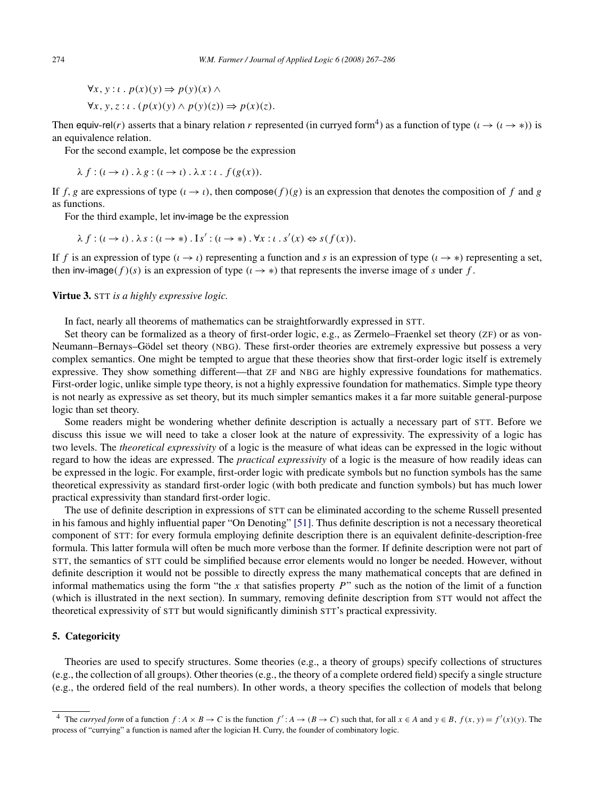$\forall x, y : i : p(x)(y) \Rightarrow p(y)(x) \land$  $\forall x, y, z : \iota \cdot (p(x)(y) \wedge p(y)(z)) \Rightarrow p(x)(z).$ 

Then equiv-rel(*r*) asserts that a binary relation *r* represented (in curryed form<sup>4</sup>) as a function of type  $($ *i* →  $($ *i* →  $*)$ ) is an equivalence relation.

For the second example, let compose be the expression

$$
\lambda f: (\iota \to \iota) \cdot \lambda g: (\iota \to \iota) \cdot \lambda x: \iota \cdot f(g(x)).
$$

If *f, g* are expressions of type  $(\iota \rightarrow \iota)$ , then compose  $(f)(g)$  is an expression that denotes the composition of *f* and *g* as functions.

For the third example, let inv-image be the expression

$$
\lambda f: (\iota \to \iota) \cdot \lambda s: (\iota \to *) \cdot Is': (\iota \to *) \cdot \forall x: \iota \cdot s'(x) \Leftrightarrow s(f(x)).
$$

If f is an expression of type  $(l \rightarrow l)$  representing a function and s is an expression of type  $(l \rightarrow *)$  representing a set, then inv-image(f)(s) is an expression of type  $(1 \rightarrow *)$  that represents the inverse image of *s* under f.

# **Virtue 3.** STT *is a highly expressive logic.*

In fact, nearly all theorems of mathematics can be straightforwardly expressed in STT.

Set theory can be formalized as a theory of first-order logic, e.g., as Zermelo–Fraenkel set theory (ZF) or as von-Neumann–Bernays–Gödel set theory (NBG). These first-order theories are extremely expressive but possess a very complex semantics. One might be tempted to argue that these theories show that first-order logic itself is extremely expressive. They show something different—that ZF and NBG are highly expressive foundations for mathematics. First-order logic, unlike simple type theory, is not a highly expressive foundation for mathematics. Simple type theory is not nearly as expressive as set theory, but its much simpler semantics makes it a far more suitable general-purpose logic than set theory.

Some readers might be wondering whether definite description is actually a necessary part of STT. Before we discuss this issue we will need to take a closer look at the nature of expressivity. The expressivity of a logic has two levels. The *theoretical expressivity* of a logic is the measure of what ideas can be expressed in the logic without regard to how the ideas are expressed. The *practical expressivity* of a logic is the measure of how readily ideas can be expressed in the logic. For example, first-order logic with predicate symbols but no function symbols has the same theoretical expressivity as standard first-order logic (with both predicate and function symbols) but has much lower practical expressivity than standard first-order logic.

The use of definite description in expressions of STT can be eliminated according to the scheme Russell presented in his famous and highly influential paper "On Denoting" [\[51\].](#page-19-0) Thus definite description is not a necessary theoretical component of STT: for every formula employing definite description there is an equivalent definite-description-free formula. This latter formula will often be much more verbose than the former. If definite description were not part of STT, the semantics of STT could be simplified because error elements would no longer be needed. However, without definite description it would not be possible to directly express the many mathematical concepts that are defined in informal mathematics using the form "the  $x$  that satisfies property  $P$ " such as the notion of the limit of a function (which is illustrated in the next section). In summary, removing definite description from STT would not affect the theoretical expressivity of STT but would significantly diminish STT's practical expressivity.

# **5. Categoricity**

Theories are used to specify structures. Some theories (e.g., a theory of groups) specify collections of structures (e.g., the collection of all groups). Other theories (e.g., the theory of a complete ordered field) specify a single structure (e.g., the ordered field of the real numbers). In other words, a theory specifies the collection of models that belong

<sup>&</sup>lt;sup>4</sup> The *curryed form* of a function  $f: A \times B \to C$  is the function  $f': A \to (B \to C)$  such that, for all  $x \in A$  and  $y \in B$ ,  $f(x, y) = f'(x)(y)$ . The process of "currying" a function is named after the logician H. Curry, the founder of combinatory logic.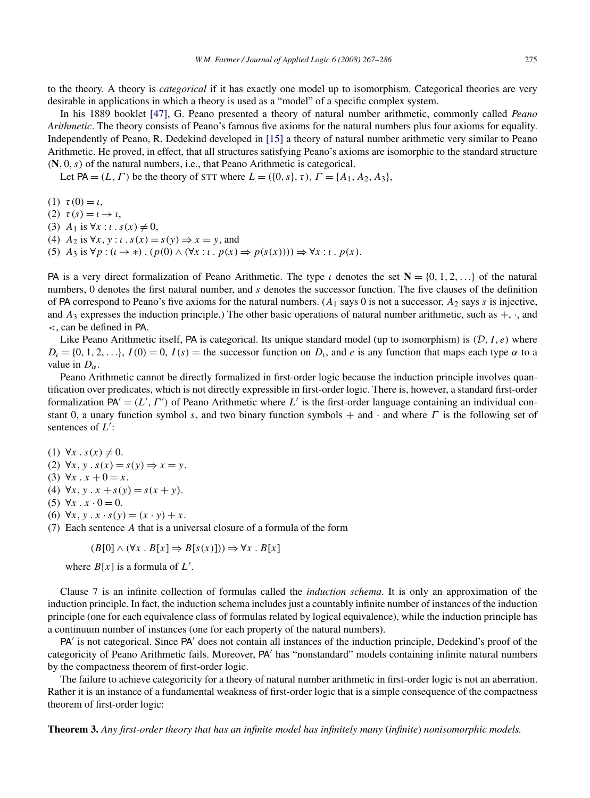to the theory. A theory is *categorical* if it has exactly one model up to isomorphism. Categorical theories are very desirable in applications in which a theory is used as a "model" of a specific complex system.

In his 1889 booklet [\[47\],](#page-19-0) G. Peano presented a theory of natural number arithmetic, commonly called *Peano Arithmetic*. The theory consists of Peano's famous five axioms for the natural numbers plus four axioms for equality. Independently of Peano, R. Dedekind developed in [\[15\]](#page-19-0) a theory of natural number arithmetic very similar to Peano Arithmetic. He proved, in effect, that all structures satisfying Peano's axioms are isomorphic to the standard structure *(***N***,* 0*,s)* of the natural numbers, i.e., that Peano Arithmetic is categorical.

Let PA =  $(L, \Gamma)$  be the theory of STT where  $L = (\{0, s\}, \tau), \Gamma = \{A_1, A_2, A_3\}$ ,

- (1)  $τ(0) = *ι*,$
- (2)  $\tau(s) = i \rightarrow i$ ,
- (3)  $A_1$  is  $\forall x : \iota \cdot s(x) \neq 0$ ,
- (4)  $A_2$  is  $\forall x, y : i \cdot s(x) = s(y) \Rightarrow x = y$ , and
- (5)  $A_3$  is  $\forall p : (\iota \to *) \cdot (p(0) \land (\forall x : \iota \cdot p(x) \Rightarrow p(s(x)))) \Rightarrow \forall x : \iota \cdot p(x)$ .

PA is a very direct formalization of Peano Arithmetic. The type *ι* denotes the set  $N = \{0, 1, 2, ...\}$  of the natural numbers, 0 denotes the first natural number, and *s* denotes the successor function. The five clauses of the definition of PA correspond to Peano's five axioms for the natural numbers. (*A*<sup>1</sup> says 0 is not a successor, *A*<sup>2</sup> says *s* is injective, and  $A_3$  expresses the induction principle.) The other basic operations of natural number arithmetic, such as  $+$ ,  $\cdot$ , and *<*, can be defined in PA.

Like Peano Arithmetic itself, PA is categorical. Its unique standard model (up to isomorphism) is  $(D, I, e)$  where  $D_l = \{0, 1, 2, \ldots\}$ ,  $I(0) = 0$ ,  $I(s) =$  the successor function on  $D_l$ , and *e* is any function that maps each type  $\alpha$  to a value in  $D_{\alpha}$ .

Peano Arithmetic cannot be directly formalized in first-order logic because the induction principle involves quantification over predicates, which is not directly expressible in first-order logic. There is, however, a standard first-order formalization  $PA' = (L', \Gamma')$  of Peano Arithmetic where  $L'$  is the first-order language containing an individual constant 0, a unary function symbol *s*, and two binary function symbols + and · and where *Γ* is the following set of sentences of  $L'$ :

- $(1) \forall x \cdot s(x) \neq 0.$
- (2)  $\forall x, y \cdot s(x) = s(y) \Rightarrow x = y$ .
- (3)  $\forall x \cdot x + 0 = x$ .
- (4)  $\forall x, y \cdot x + s(y) = s(x + y)$ .
- $(5) \forall x \cdot x \cdot 0 = 0.$
- (6)  $\forall x, y \cdot x \cdot s(y) = (x \cdot y) + x.$

(7) Each sentence *A* that is a universal closure of a formula of the form

 $(B[0] ∧ (∀x.B[x] ⇒ B[s(x)])) ⇒ ∀x.B[x]$ 

where  $B[x]$  is a formula of  $L'$ .

Clause 7 is an infinite collection of formulas called the *induction schema*. It is only an approximation of the induction principle. In fact, the induction schema includes just a countably infinite number of instances of the induction principle (one for each equivalence class of formulas related by logical equivalence), while the induction principle has a continuum number of instances (one for each property of the natural numbers).

PA' is not categorical. Since PA' does not contain all instances of the induction principle, Dedekind's proof of the categoricity of Peano Arithmetic fails. Moreover, PA' has "nonstandard" models containing infinite natural numbers by the compactness theorem of first-order logic.

The failure to achieve categoricity for a theory of natural number arithmetic in first-order logic is not an aberration. Rather it is an instance of a fundamental weakness of first-order logic that is a simple consequence of the compactness theorem of first-order logic:

**Theorem 3.** *Any first-order theory that has an infinite model has infinitely many* (*infinite*) *nonisomorphic models.*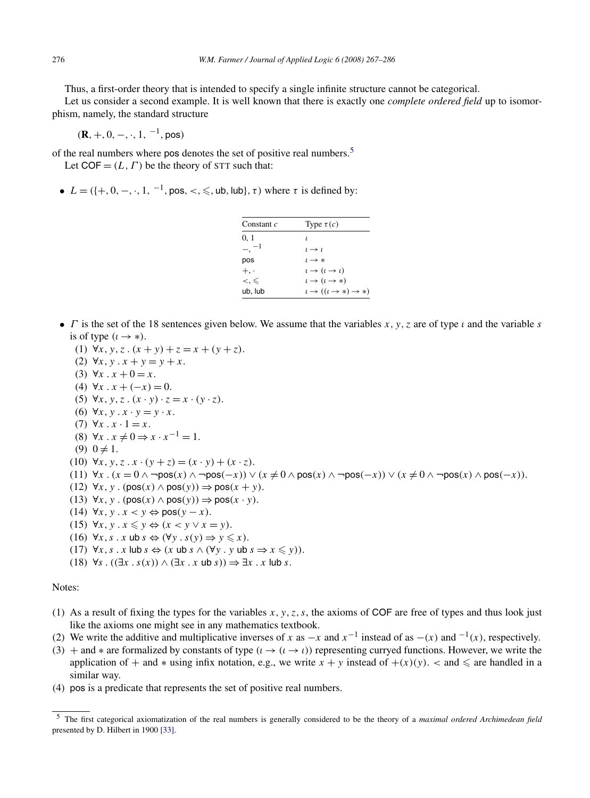Thus, a first-order theory that is intended to specify a single infinite structure cannot be categorical.

Let us consider a second example. It is well known that there is exactly one *complete ordered field* up to isomorphism, namely, the standard structure

*(***R***,*+*,* 0*,*−*,*·*,* 1*,* <sup>−</sup>1*,* pos*)*

of the real numbers where pos denotes the set of positive real numbers.<sup>5</sup> Let  $COF = (L, \Gamma)$  be the theory of STT such that:

•  $L = (\{+, 0, -, \cdot, 1, ^{-1}, \text{pos}, <, \leq, \text{ub}, \text{lub}\}, \tau)$  where  $\tau$  is defined by:

| Constant $c$   | Type $\tau(c)$                                    |
|----------------|---------------------------------------------------|
| 0, 1           | $\mathbf{I}$                                      |
| $-$ , $^{-1}$  | $l \rightarrow l$                                 |
| pos            | $l \rightarrow *$                                 |
| $+$ .          | $t \rightarrow (t \rightarrow t)$                 |
| $\lt$ . $\leq$ | $l \rightarrow (l \rightarrow *)$                 |
| ub, lub        | $l \rightarrow ((l \rightarrow *) \rightarrow *)$ |

- *Γ* is the set of the 18 sentences given below. We assume that the variables *x*, *y*, *z* are of type *ι* and the variable *s* is of type  $(l \rightarrow *)$ .
	- (1)  $\forall x, y, z \cdot (x + y) + z = x + (y + z)$ . (2)  $\forall x, y \cdot x + y = y + x.$ (3)  $\forall x \cdot x + 0 = x$ . (4)  $\forall x \cdot x + (-x) = 0.$ (5)  $\forall x, y, z \cdot (x \cdot y) \cdot z = x \cdot (y \cdot z)$ . (6)  $\forall x, y \cdot x \cdot y = y \cdot x$ . (7)  $∀x . x . 1 = x.$ (8)  $\forall x \cdot x \neq 0 \Rightarrow x \cdot x^{-1} = 1.$  $(9)$  0  $\neq$  1. (10)  $\forall x, y, z \cdot x \cdot (y + z) = (x \cdot y) + (x \cdot z).$ (11)  $\forall x \cdot (x = 0 \land \neg pos(x) \land \neg pos(-x)) \lor (x \neq 0 \land pos(x) \land \neg pos(-x)) \lor (x \neq 0 \land \neg pos(x) \land pos(-x)).$ (12) ∀*x,y .(*pos*(x)* ∧ pos*(y))* ⇒ pos*(x* + *y)*. (13) ∀*x,y .(*pos*(x)* ∧ pos*(y))* ⇒ pos*(x* · *y)*. (14)  $\forall x, y \cdot x < y \Leftrightarrow \text{pos}(y - x)$ . (15)  $\forall x, y \in \mathcal{X} \leq y \Leftrightarrow (x \leq y \vee x = y).$ (16)  $\forall x, s \cdot x$  ub  $s \Leftrightarrow (\forall y \cdot s(y) \Rightarrow y \leq x)$ . (17)  $\forall x, s \cdot x$  lub  $s \Leftrightarrow (x \text{ ub } s \wedge (\forall y \cdot y \text{ ub } s \Rightarrow x \leq y)).$
	- $(18)$   $\forall s$ .  $((\exists x \cdot s(x)) \wedge (\exists x \cdot x \text{ ub } s)) \Rightarrow \exists x \cdot x \text{ lub } s.$

# Notes:

- (1) As a result of fixing the types for the variables  $x, y, z, s$ , the axioms of COF are free of types and thus look just like the axioms one might see in any mathematics textbook.
- (2) We write the additive and multiplicative inverses of *x* as  $-x$  and  $x^{-1}$  instead of as  $-(x)$  and  $^{-1}(x)$ , respectively.
- (3) + and  $*$  are formalized by constants of type  $(\iota \to (\iota \to \iota))$  representing curryed functions. However, we write the application of + and  $*$  using infix notation, e.g., we write  $x + y$  instead of  $+(x)(y)$ .  $<$  and  $\leq$  are handled in a similar way.
- (4) pos is a predicate that represents the set of positive real numbers.

<sup>5</sup> The first categorical axiomatization of the real numbers is generally considered to be the theory of a *maximal ordered Archimedean field* presented by D. Hilbert in 1900 [\[33\].](#page-19-0)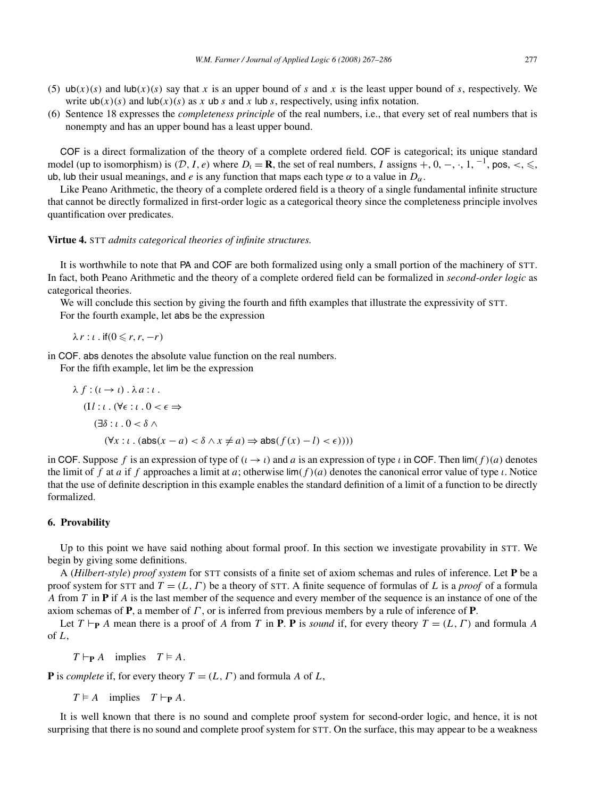- <span id="page-10-0"></span>(5)  $ub(x)(s)$  and  $ub(x)(s)$  say that x is an upper bound of s and x is the least upper bound of s, respectively. We write  $ub(x)(s)$  and  $lub(x)(s)$  as x ub s and x lub s, respectively, using infix notation.
- (6) Sentence 18 expresses the *completeness principle* of the real numbers, i.e., that every set of real numbers that is nonempty and has an upper bound has a least upper bound.

COF is a direct formalization of the theory of a complete ordered field. COF is categorical; its unique standard model (up to isomorphism) is  $(D, I, e)$  where  $D_i = \mathbf{R}$ , the set of real numbers, *I* assigns  $+, 0, -, \cdot, 1, -1, \text{pos}, <, \leq,$ ub, lub their usual meanings, and *e* is any function that maps each type  $\alpha$  to a value in  $D_{\alpha}$ .

Like Peano Arithmetic, the theory of a complete ordered field is a theory of a single fundamental infinite structure that cannot be directly formalized in first-order logic as a categorical theory since the completeness principle involves quantification over predicates.

#### **Virtue 4.** STT *admits categorical theories of infinite structures.*

It is worthwhile to note that PA and COF are both formalized using only a small portion of the machinery of STT. In fact, both Peano Arithmetic and the theory of a complete ordered field can be formalized in *second-order logic* as categorical theories.

We will conclude this section by giving the fourth and fifth examples that illustrate the expressivity of STT. For the fourth example, let abs be the expression

 $λr$  : *ι* . if(0 ≤ *r*, *r*, −*r*)

in COF. abs denotes the absolute value function on the real numbers.

For the fifth example, let lim be the expression

$$
\lambda f: (t \to t) \cdot \lambda a: t.
$$
  
(II : t. ( $\forall \epsilon : t \cdot 0 < \epsilon \Rightarrow$   
( $\exists \delta : t \cdot 0 < \delta \land$   
( $\forall x : t \cdot (abs(x - a) < \delta \land x \neq a) \Rightarrow abs(f(x) - l) < \epsilon$ )))

in COF. Suppose f is an expression of type of  $(l \rightarrow l)$  and a is an expression of type  $l$  in COF. Then  $\lim_{h \to l} (f)(a)$  denotes the limit of *f* at *a* if *f* approaches a limit at *a*; otherwise lim*(f )(a)* denotes the canonical error value of type *ι*. Notice that the use of definite description in this example enables the standard definition of a limit of a function to be directly formalized.

#### **6. Provability**

Up to this point we have said nothing about formal proof. In this section we investigate provability in STT. We begin by giving some definitions.

A (*Hilbert-style*) *proof system* for STT consists of a finite set of axiom schemas and rules of inference. Let **P** be a proof system for STT and *T* = *(L,Γ )* be a theory of STT. A finite sequence of formulas of *L* is a *proof* of a formula *A* from *T* in **P** if *A* is the last member of the sequence and every member of the sequence is an instance of one of the axiom schemas of **P**, a member of *Γ* , or is inferred from previous members by a rule of inference of **P**.

Let  $T \vdash_{\mathbf{P}} A$  mean there is a proof of A from T in **P**. **P** is *sound* if, for every theory  $T = (L, \Gamma)$  and formula A of *L*,

 $T \vdash_{\mathbf{P}} A$  implies  $T \vDash A$ .

**P** is *complete* if, for every theory  $T = (L, \Gamma)$  and formula A of L,

 $T \models A$  implies  $T \vdash_{\mathbf{P}} A$ .

It is well known that there is no sound and complete proof system for second-order logic, and hence, it is not surprising that there is no sound and complete proof system for STT. On the surface, this may appear to be a weakness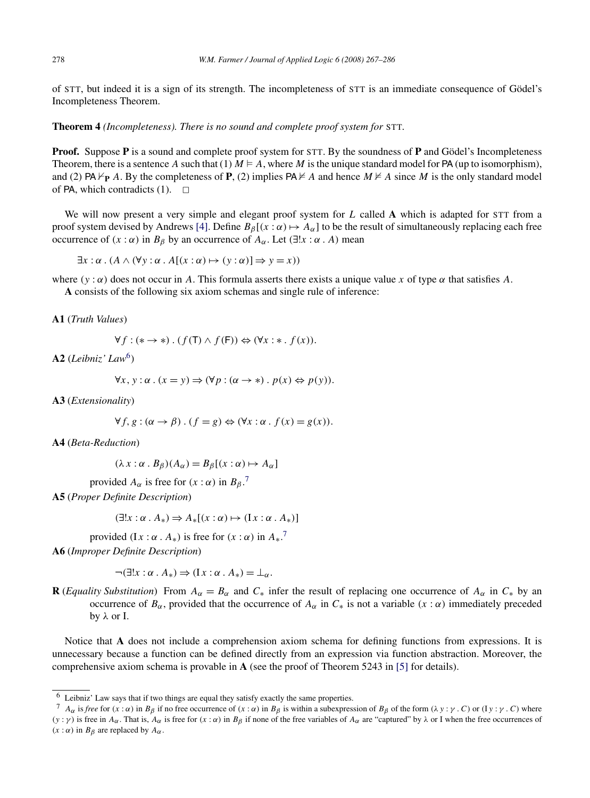<span id="page-11-0"></span>of STT, but indeed it is a sign of its strength. The incompleteness of STT is an immediate consequence of Gödel's Incompleteness Theorem.

**Theorem 4** *(Incompleteness). There is no sound and complete proof system for* STT*.*

**Proof.** Suppose **P** is a sound and complete proof system for STT. By the soundness of **P** and Gödel's Incompleteness Theorem, there is a sentence A such that  $(1)$   $M \models A$ , where M is the unique standard model for PA (up to isomorphism), and (2) PA $\nvdash_{\mathbf{P}} A$ . By the completeness of **P**, (2) implies PA $\nvdash A$  and hence  $M \nvdash A$  since M is the only standard model of PA, which contradicts  $(1)$ .  $\Box$ 

We will now present a very simple and elegant proof system for *L* called **A** which is adapted for STT from a proof system devised by Andrews [\[4\].](#page-18-0) Define  $B_\beta[(x:\alpha) \mapsto A_\alpha]$  to be the result of simultaneously replacing each free occurrence of  $(x : α)$  in  $B<sub>β</sub>$  by an occurrence of  $A<sub>α</sub>$ . Let  $(\exists ! x : α \cdot A)$  mean

 $\exists x : \alpha \cdot (A \wedge (\forall y : \alpha \cdot A[(x : \alpha) \mapsto (y : \alpha)] \Rightarrow y = x)$ )

where  $(y : \alpha)$  does not occur in A. This formula asserts there exists a unique value *x* of type  $\alpha$  that satisfies A.

**A** consists of the following six axiom schemas and single rule of inference:

**A1** (*Truth Values*)

$$
\forall f: (* \to *) \ . \ (f(\mathsf{T}) \land f(\mathsf{F})) \Leftrightarrow (\forall x: * \ . \ f(x)).
$$

**A2** (*Leibniz' Law*6)

$$
\forall x, y : \alpha \cdot (x = y) \Rightarrow (\forall p : (\alpha \to *) \cdot p(x) \Leftrightarrow p(y)).
$$

**A3** (*Extensionality*)

$$
\forall f, g: (\alpha \to \beta) \cdot (f = g) \Leftrightarrow (\forall x: \alpha \cdot f(x) = g(x)).
$$

**A4** (*Beta-Reduction*)

$$
(\lambda x : \alpha \cdot B_{\beta})(A_{\alpha}) = B_{\beta}[(x : \alpha) \mapsto A_{\alpha}]
$$

provided  $A_{\alpha}$  is free for  $(x : \alpha)$  in  $B_{\beta}$ .<sup>7</sup>

**A5** (*Proper Definite Description*)

 $(\exists !x : \alpha \cdot A_*) \Rightarrow A_*[(x : \alpha) \mapsto (I x : \alpha \cdot A_*)]$ 

provided  $(Ix : \alpha \cdot A_*)$  is free for  $(x : \alpha)$  in  $A_*$ .<sup>7</sup>

**A6** (*Improper Definite Description*)

$$
\neg (\exists ! x : \alpha \cdot A_*) \Rightarrow (\mathbf{I} x : \alpha \cdot A_*) = \bot_{\alpha}.
$$

**R** (*Equality Substitution*) From  $A_\alpha = B_\alpha$  and  $C_*$  infer the result of replacing one occurrence of  $A_\alpha$  in  $C_*$  by an occurrence of *Bα*, provided that the occurrence of *Aα* in *C*<sup>∗</sup> is not a variable *(x* : *α)* immediately preceded by *λ* or I.

Notice that **A** does not include a comprehension axiom schema for defining functions from expressions. It is unnecessary because a function can be defined directly from an expression via function abstraction. Moreover, the comprehensive axiom schema is provable in **A** (see the proof of Theorem 5243 in [\[5\]](#page-18-0) for details).

<sup>6</sup> Leibniz' Law says that if two things are equal they satisfy exactly the same properties.

 $\frac{7}{4}$  A<sub>α</sub> is free for (x : α) in B<sub>β</sub> if no free occurrence of (x : α) in B<sub>β</sub> is within a subexpression of B<sub>β</sub> of the form (λ y : γ. C) or (I y : γ. C) where  $(y; \gamma)$  is free in *Aα*. That is, *A<sub>α</sub>* is free for  $(x; \alpha)$  in *B<sub>β</sub>* if none of the free variables of *A<sub>α</sub>* are "captured" by  $\lambda$  or I when the free occurrences of  $(x : \alpha)$  in  $B_\beta$  are replaced by  $A_\alpha$ .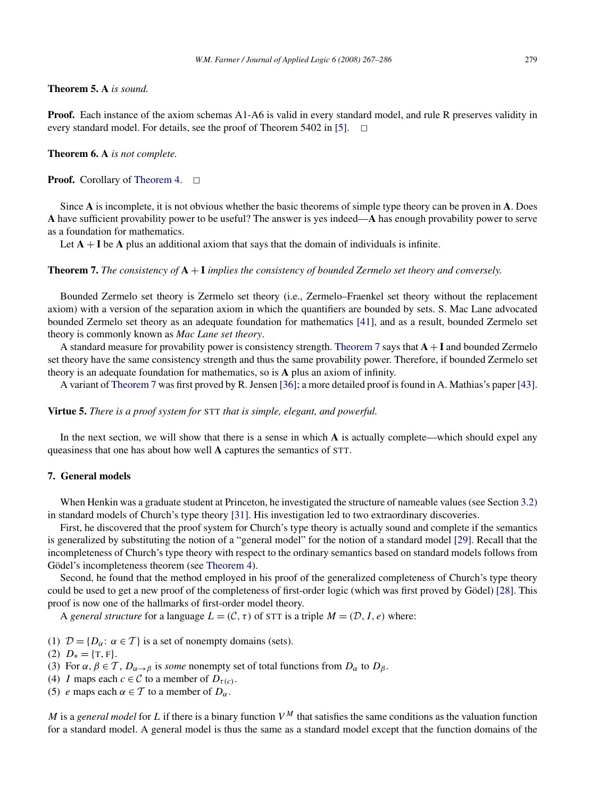# <span id="page-12-0"></span>**Theorem 5. A** *is sound.*

**Proof.** Each instance of the axiom schemas A1-A6 is valid in every standard model, and rule R preserves validity in every standard model. For details, see the proof of Theorem 5402 in [\[5\].](#page-18-0)  $\Box$ 

## **Theorem 6. A** *is not complete.*

## **Proof.** Corollary of [Theorem 4.](#page-11-0) <del>□</del>

Since **A** is incomplete, it is not obvious whether the basic theorems of simple type theory can be proven in **A**. Does **A** have sufficient provability power to be useful? The answer is yes indeed—**A** has enough provability power to serve as a foundation for mathematics.

Let  $A + I$  be  $A$  plus an additional axiom that says that the domain of individuals is infinite.

**Theorem 7.** *The consistency of* **A** + **I** *implies the consistency of bounded Zermelo set theory and conversely.*

Bounded Zermelo set theory is Zermelo set theory (i.e., Zermelo–Fraenkel set theory without the replacement axiom) with a version of the separation axiom in which the quantifiers are bounded by sets. S. Mac Lane advocated bounded Zermelo set theory as an adequate foundation for mathematics [\[41\],](#page-19-0) and as a result, bounded Zermelo set theory is commonly known as *Mac Lane set theory*.

A standard measure for provability power is consistency strength. Theorem 7 says that **A**+ **I** and bounded Zermelo set theory have the same consistency strength and thus the same provability power. Therefore, if bounded Zermelo set theory is an adequate foundation for mathematics, so is **A** plus an axiom of infinity.

A variant of Theorem 7 was first proved by R. Jensen [\[36\];](#page-19-0) a more detailed proof is found in A. Mathias's paper [\[43\].](#page-19-0)

**Virtue 5.** *There is a proof system for* STT *that is simple, elegant, and powerful.*

In the next section, we will show that there is a sense in which **A** is actually complete—which should expel any queasiness that one has about how well **A** captures the semantics of STT.

# **7. General models**

When Henkin was a graduate student at Princeton, he investigated the structure of nameable values (see Section [3.2\)](#page-4-0) in standard models of Church's type theory [\[31\].](#page-19-0) His investigation led to two extraordinary discoveries.

First, he discovered that the proof system for Church's type theory is actually sound and complete if the semantics is generalized by substituting the notion of a "general model" for the notion of a standard model [\[29\].](#page-19-0) Recall that the incompleteness of Church's type theory with respect to the ordinary semantics based on standard models follows from Gödel's incompleteness theorem (see [Theorem 4\)](#page-11-0).

Second, he found that the method employed in his proof of the generalized completeness of Church's type theory could be used to get a new proof of the completeness of first-order logic (which was first proved by Gödel) [\[28\].](#page-19-0) This proof is now one of the hallmarks of first-order model theory.

A *general structure* for a language  $L = (\mathcal{C}, \tau)$  of STT is a triple  $M = (\mathcal{D}, I, e)$  where:

- (1)  $\mathcal{D} = \{D_{\alpha}: \alpha \in \mathcal{T}\}\$ is a set of nonempty domains (sets).
- (2)  $D_* = \{T, F\}.$
- (3) For  $\alpha, \beta \in \mathcal{T}$ ,  $D_{\alpha \to \beta}$  is *some* nonempty set of total functions from  $D_{\alpha}$  to  $D_{\beta}$ .
- (4) *I* maps each  $c \in \mathcal{C}$  to a member of  $D_{\tau(c)}$ .
- (5) *e* maps each  $\alpha \in \mathcal{T}$  to a member of  $D_{\alpha}$ .

*M* is a *general model* for *L* if there is a binary function  $V^M$  that satisfies the same conditions as the valuation function for a standard model. A general model is thus the same as a standard model except that the function domains of the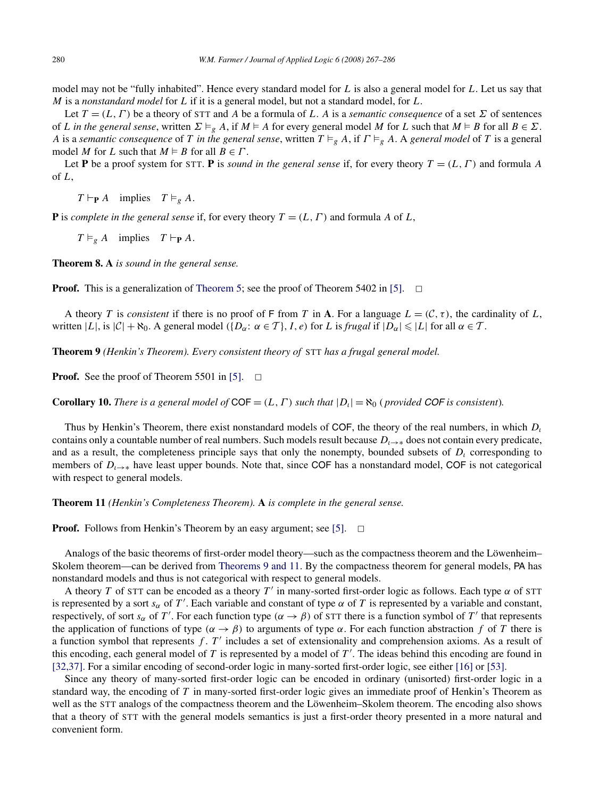model may not be "fully inhabited". Hence every standard model for *L* is also a general model for *L*. Let us say that *M* is a *nonstandard model* for *L* if it is a general model, but not a standard model, for *L*.

Let  $T = (L, \Gamma)$  be a theory of STT and *A* be a formula of *L*. *A* is a *semantic consequence* of a set  $\Sigma$  of sentences of *L* in the general sense, written  $\Sigma \models_g A$ , if  $M \models A$  for every general model M for *L* such that  $M \models B$  for all  $B \in \Sigma$ . *A* is a *semantic consequence* of *T in the general sense*, written  $T \vDash_g A$ , if  $\Gamma \vDash_g A$ . A *general model* of *T* is a general model *M* for *L* such that  $M \models B$  for all  $B \in \Gamma$ .

Let **P** be a proof system for STT. **P** is *sound in the general sense* if, for every theory  $T = (L, \Gamma)$  and formula A of *L*,

 $T \vdash_{\mathbf{P}} A$  implies  $T \vDash_{g} A$ .

**P** is *complete in the general sense* if, for every theory  $T = (L, \Gamma)$  and formula A of L,

 $T \vDash g A$  implies  $T \vDash_{\mathbf{P}} A$ .

**Theorem 8. A** *is sound in the general sense.*

**Proof.** This is a generalization of [Theorem 5;](#page-12-0) see the proof of Theorem 5402 in [\[5\].](#page-18-0)  $\Box$ 

A theory *T* is *consistent* if there is no proof of F from *T* in **A**. For a language  $L = (\mathcal{C}, \tau)$ , the cardinality of *L*, written  $|L|$ , is  $|C| + \aleph_0$ . A general model  $({D_{\alpha}: \alpha \in T}, I, e)$  for *L* is *frugal* if  $|D_{\alpha}| \le |L|$  for all  $\alpha \in T$ .

**Theorem 9** *(Henkin's Theorem). Every consistent theory of* STT *has a frugal general model.*

**Proof.** See the proof of Theorem 5501 in [\[5\].](#page-18-0)  $\Box$ 

**Corollary 10.** *There is a general model of*  $COF = (L, \Gamma)$  *such that*  $|D_t| = \aleph_0$  (*provided COF is consistent*).

Thus by Henkin's Theorem, there exist nonstandard models of COF, the theory of the real numbers, in which *Dι* contains only a countable number of real numbers. Such models result because *Dι*→∗ does not contain every predicate, and as a result, the completeness principle says that only the nonempty, bounded subsets of *Dι* corresponding to members of *D*<sub>*l→∗*</sub> have least upper bounds. Note that, since COF has a nonstandard model, COF is not categorical with respect to general models.

**Theorem 11** *(Henkin's Completeness Theorem).* **A** *is complete in the general sense.*

**Proof.** Follows from Henkin's Theorem by an easy argument; see [\[5\].](#page-18-0)  $\Box$ 

Analogs of the basic theorems of first-order model theory—such as the compactness theorem and the Löwenheim– Skolem theorem—can be derived from Theorems 9 and 11. By the compactness theorem for general models, PA has nonstandard models and thus is not categorical with respect to general models.

A theory *T* of STT can be encoded as a theory *T* in many-sorted first-order logic as follows. Each type *α* of STT is represented by a sort  $s_\alpha$  of T'. Each variable and constant of type  $\alpha$  of T is represented by a variable and constant, respectively, of sort  $s_\alpha$  of T'. For each function type  $(\alpha \to \beta)$  of STT there is a function symbol of T' that represents the application of functions of type  $(\alpha \to \beta)$  to arguments of type  $\alpha$ . For each function abstraction *f* of *T* there is a function symbol that represents *f* . *T* includes a set of extensionality and comprehension axioms. As a result of this encoding, each general model of  $T$  is represented by a model of  $T'$ . The ideas behind this encoding are found in [\[32,37\].](#page-19-0) For a similar encoding of second-order logic in many-sorted first-order logic, see either [\[16\]](#page-19-0) or [\[53\].](#page-19-0)

Since any theory of many-sorted first-order logic can be encoded in ordinary (unisorted) first-order logic in a standard way, the encoding of *T* in many-sorted first-order logic gives an immediate proof of Henkin's Theorem as well as the STT analogs of the compactness theorem and the Löwenheim–Skolem theorem. The encoding also shows that a theory of STT with the general models semantics is just a first-order theory presented in a more natural and convenient form.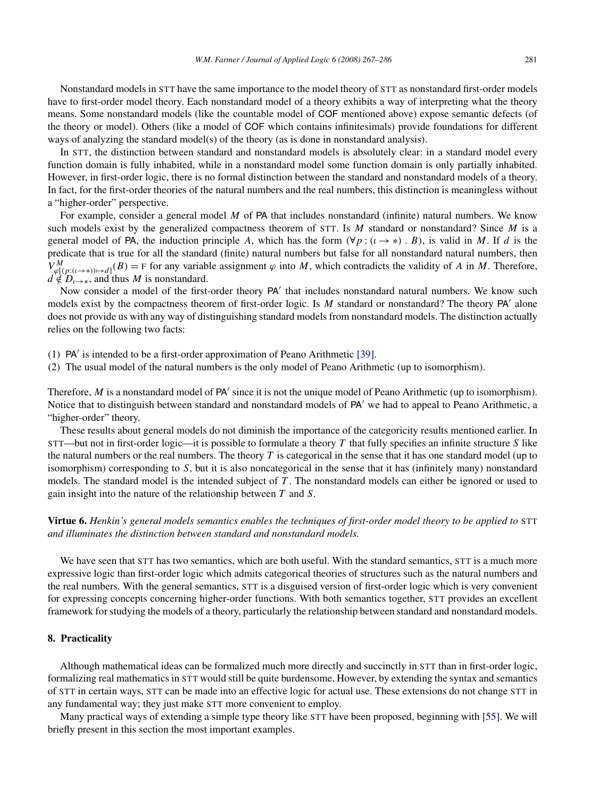<span id="page-14-0"></span>Nonstandard models in STT have the same importance to the model theory of STT as nonstandard first-order models have to first-order model theory. Each nonstandard model of a theory exhibits a way of interpreting what the theory means. Some nonstandard models (like the countable model of COF mentioned above) expose semantic defects (of the theory or model). Others (like a model of COF which contains infinitesimals) provide foundations for different ways of analyzing the standard model(s) of the theory (as is done in nonstandard analysis).

In STT, the distinction between standard and nonstandard models is absolutely clear: in a standard model every function domain is fully inhabited, while in a nonstandard model some function domain is only partially inhabited. However, in first-order logic, there is no formal distinction between the standard and nonstandard models of a theory. In fact, for the first-order theories of the natural numbers and the real numbers, this distinction is meaningless without a "higher-order" perspective.

For example, consider a general model *M* of PA that includes nonstandard (infinite) natural numbers. We know such models exist by the generalized compactness theorem of STT. Is *M* standard or nonstandard? Since *M* is a general model of PA, the induction principle A, which has the form  $(\forall p : (\iota \rightarrow *)$ . B), is valid in M. If d is the predicate that is true for all the standard (finite) natural numbers but false for all nonstandard natural numbers, then  $V_{\varphi[(p:(\iota \to \ast))\mapsto d]}^{M}(B) = F$  for any variable assignment  $\varphi$  into *M*, which contradicts the validity of *A* in *M*. Therefore,  $d \notin D_{\iota \to \infty}$ , and thus *M* is nonstandard.

Now consider a model of the first-order theory PA' that includes nonstandard natural numbers. We know such models exist by the compactness theorem of first-order logic. Is M standard or nonstandard? The theory PA' alone does not provide us with any way of distinguishing standard models from nonstandard models. The distinction actually relies on the following two facts:

- (1) PA is intended to be a first-order approximation of Peano Arithmetic [\[39\].](#page-19-0)
- (2) The usual model of the natural numbers is the only model of Peano Arithmetic (up to isomorphism).

Therefore, *M* is a nonstandard model of PA' since it is not the unique model of Peano Arithmetic (up to isomorphism). Notice that to distinguish between standard and nonstandard models of PA' we had to appeal to Peano Arithmetic, a "higher-order" theory.

These results about general models do not diminish the importance of the categoricity results mentioned earlier. In STT—but not in first-order logic—it is possible to formulate a theory  $T$  that fully specifies an infinite structure  $S$  like the natural numbers or the real numbers. The theory *T* is categorical in the sense that it has one standard model (up to isomorphism) corresponding to *S*, but it is also noncategorical in the sense that it has (infinitely many) nonstandard models. The standard model is the intended subject of *T* . The nonstandard models can either be ignored or used to gain insight into the nature of the relationship between *T* and *S*.

# **Virtue 6.** *Henkin's general models semantics enables the techniques of first-order model theory to be applied to* STT *and illuminates the distinction between standard and nonstandard models.*

We have seen that STT has two semantics, which are both useful. With the standard semantics, STT is a much more expressive logic than first-order logic which admits categorical theories of structures such as the natural numbers and the real numbers. With the general semantics, STT is a disguised version of first-order logic which is very convenient for expressing concepts concerning higher-order functions. With both semantics together, STT provides an excellent framework for studying the models of a theory, particularly the relationship between standard and nonstandard models.

# **8. Practicality**

Although mathematical ideas can be formalized much more directly and succinctly in STT than in first-order logic, formalizing real mathematics in STT would still be quite burdensome. However, by extending the syntax and semantics of STT in certain ways, STT can be made into an effective logic for actual use. These extensions do not change STT in any fundamental way; they just make STT more convenient to employ.

Many practical ways of extending a simple type theory like STT have been proposed, beginning with [\[55\].](#page-19-0) We will briefly present in this section the most important examples.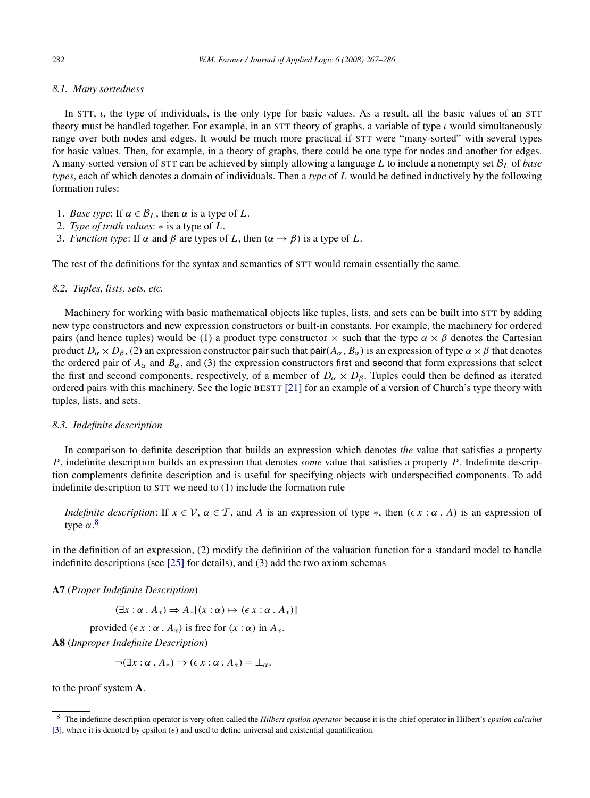# *8.1. Many sortedness*

In STT, *ι*, the type of individuals, is the only type for basic values. As a result, all the basic values of an STT theory must be handled together. For example, in an STT theory of graphs, a variable of type *ι* would simultaneously range over both nodes and edges. It would be much more practical if STT were "many-sorted" with several types for basic values. Then, for example, in a theory of graphs, there could be one type for nodes and another for edges. A many-sorted version of STT can be achieved by simply allowing a language *L* to include a nonempty set B*<sup>L</sup>* of *base types*, each of which denotes a domain of individuals. Then a *type* of *L* would be defined inductively by the following formation rules:

- 1. *Base type*: If  $\alpha \in \mathcal{B}_L$ , then  $\alpha$  is a type of L.
- 2. *Type of truth values*: ∗ is a type of *L*.
- 3. *Function type*: If  $\alpha$  and  $\beta$  are types of *L*, then  $(\alpha \rightarrow \beta)$  is a type of *L*.

The rest of the definitions for the syntax and semantics of STT would remain essentially the same.

# *8.2. Tuples, lists, sets, etc.*

Machinery for working with basic mathematical objects like tuples, lists, and sets can be built into STT by adding new type constructors and new expression constructors or built-in constants. For example, the machinery for ordered pairs (and hence tuples) would be (1) a product type constructor  $\times$  such that the type  $\alpha \times \beta$  denotes the Cartesian product  $D_{\alpha} \times D_{\beta}$ , (2) an expression constructor pair such that pair $(A_{\alpha}, B_{\alpha})$  is an expression of type  $\alpha \times \beta$  that denotes the ordered pair of  $A_\alpha$  and  $B_\alpha$ , and (3) the expression constructors first and second that form expressions that select the first and second components, respectively, of a member of  $D_{\alpha} \times D_{\beta}$ . Tuples could then be defined as iterated ordered pairs with this machinery. See the logic BESTT [\[21\]](#page-19-0) for an example of a version of Church's type theory with tuples, lists, and sets.

# *8.3. Indefinite description*

In comparison to definite description that builds an expression which denotes *the* value that satisfies a property *P* , indefinite description builds an expression that denotes *some* value that satisfies a property *P* . Indefinite description complements definite description and is useful for specifying objects with underspecified components. To add indefinite description to STT we need to (1) include the formation rule

*Indefinite description*: If  $x \in V$ ,  $\alpha \in T$ , and *A* is an expression of type  $*$ , then  $(\epsilon x : \alpha \cdot A)$  is an expression of type *α*. 8

in the definition of an expression, (2) modify the definition of the valuation function for a standard model to handle indefinite descriptions (see [\[25\]](#page-19-0) for details), and (3) add the two axiom schemas

**A7** (*Proper Indefinite Description*)

 $(\exists x : \alpha \cdot A_*) \Rightarrow A_*[(x : \alpha) \mapsto (\epsilon x : \alpha \cdot A_*)]$ 

provided  $(\epsilon x : \alpha \cdot A_*)$  is free for  $(x : \alpha)$  in  $A_*$ .

**A8** (*Improper Indefinite Description*)

$$
\neg (\exists x : \alpha \cdot A_*) \Rightarrow (\epsilon x : \alpha \cdot A_*) = \bot_{\alpha}.
$$

to the proof system **A**.

<sup>8</sup> The indefinite description operator is very often called the *Hilbert epsilon operator* because it is the chief operator in Hilbert's *epsilon calculus* [\[3\],](#page-18-0) where it is denoted by epsilon  $(\epsilon)$  and used to define universal and existential quantification.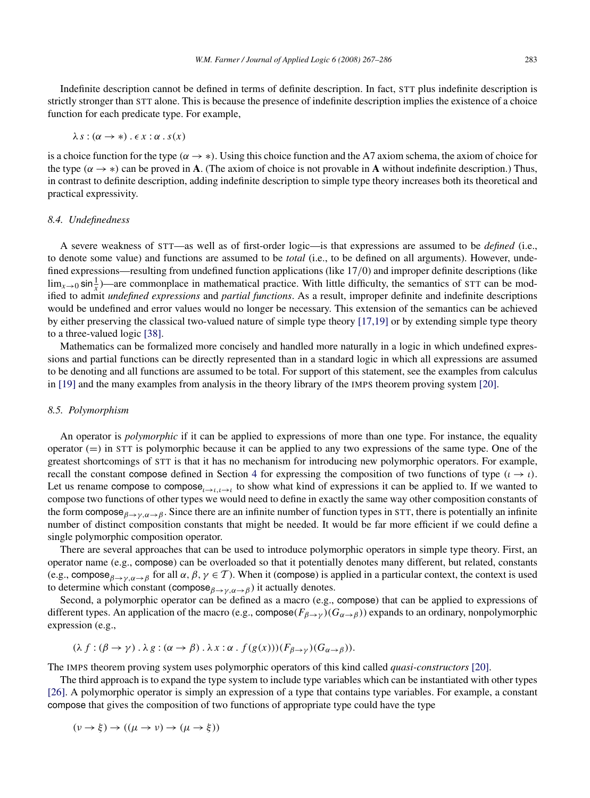Indefinite description cannot be defined in terms of definite description. In fact, STT plus indefinite description is strictly stronger than STT alone. This is because the presence of indefinite description implies the existence of a choice function for each predicate type. For example,

$$
\lambda s : (\alpha \to *) \cdot \epsilon x : \alpha \cdot s(x)
$$

is a choice function for the type  $(\alpha \to *)$ . Using this choice function and the A7 axiom schema, the axiom of choice for the type  $(\alpha \rightarrow *)$  can be proved in **A**. (The axiom of choice is not provable in **A** without indefinite description.) Thus, in contrast to definite description, adding indefinite description to simple type theory increases both its theoretical and practical expressivity.

#### *8.4. Undefinedness*

A severe weakness of STT—as well as of first-order logic—is that expressions are assumed to be *defined* (i.e., to denote some value) and functions are assumed to be *total* (i.e., to be defined on all arguments). However, undefined expressions—resulting from undefined function applications (like 17*/*0) and improper definite descriptions (like  $\lim_{x\to 0} \sin{\frac{1}{x}}$ —are commonplace in mathematical practice. With little difficulty, the semantics of STT can be modified to admit *undefined expressions* and *partial functions*. As a result, improper definite and indefinite descriptions would be undefined and error values would no longer be necessary. This extension of the semantics can be achieved by either preserving the classical two-valued nature of simple type theory [\[17,19\]](#page-19-0) or by extending simple type theory to a three-valued logic [\[38\].](#page-19-0)

Mathematics can be formalized more concisely and handled more naturally in a logic in which undefined expressions and partial functions can be directly represented than in a standard logic in which all expressions are assumed to be denoting and all functions are assumed to be total. For support of this statement, see the examples from calculus in [\[19\]](#page-19-0) and the many examples from analysis in the theory library of the IMPS theorem proving system [\[20\].](#page-19-0)

### *8.5. Polymorphism*

An operator is *polymorphic* if it can be applied to expressions of more than one type. For instance, the equality operator (=) in STT is polymorphic because it can be applied to any two expressions of the same type. One of the greatest shortcomings of STT is that it has no mechanism for introducing new polymorphic operators. For example, recall the constant compose defined in Section [4](#page-6-0) for expressing the composition of two functions of type  $(i \rightarrow i)$ . Let us rename compose to compose<sub> $l\rightarrow l$ , $l\rightarrow l$ </sub> to show what kind of expressions it can be applied to. If we wanted to compose two functions of other types we would need to define in exactly the same way other composition constants of the form compose<sub> $\beta \to \gamma$ ,  $\alpha \to \beta$ . Since there are an infinite number of function types in STT, there is potentially an infinite</sub> number of distinct composition constants that might be needed. It would be far more efficient if we could define a single polymorphic composition operator.

There are several approaches that can be used to introduce polymorphic operators in simple type theory. First, an operator name (e.g., compose) can be overloaded so that it potentially denotes many different, but related, constants (e.g., compose<sub> $\beta \rightarrow \gamma$ ,  $\alpha \rightarrow \beta$  for all  $\alpha$ ,  $\beta$ ,  $\gamma \in T$ ). When it (compose) is applied in a particular context, the context is used</sub> to determine which constant (compose<sub> $\beta \rightarrow \gamma, \alpha \rightarrow \beta$ ) it actually denotes.</sub>

Second, a polymorphic operator can be defined as a macro (e.g., compose) that can be applied to expressions of different types. An application of the macro (e.g., compose*(Fβ*<sup>→</sup>*<sup>γ</sup> )(Gα*→*β)*) expands to an ordinary, nonpolymorphic expression (e.g.,

$$
(\lambda f: (\beta \to \gamma) \cdot \lambda g: (\alpha \to \beta) \cdot \lambda x: \alpha \cdot f(g(x)))(F_{\beta \to \gamma})(G_{\alpha \to \beta})).
$$

The IMPS theorem proving system uses polymorphic operators of this kind called *quasi-constructors* [\[20\].](#page-19-0)

The third approach is to expand the type system to include type variables which can be instantiated with other types [\[26\].](#page-19-0) A polymorphic operator is simply an expression of a type that contains type variables. For example, a constant compose that gives the composition of two functions of appropriate type could have the type

$$
(\nu \to \xi) \to ((\mu \to \nu) \to (\mu \to \xi))
$$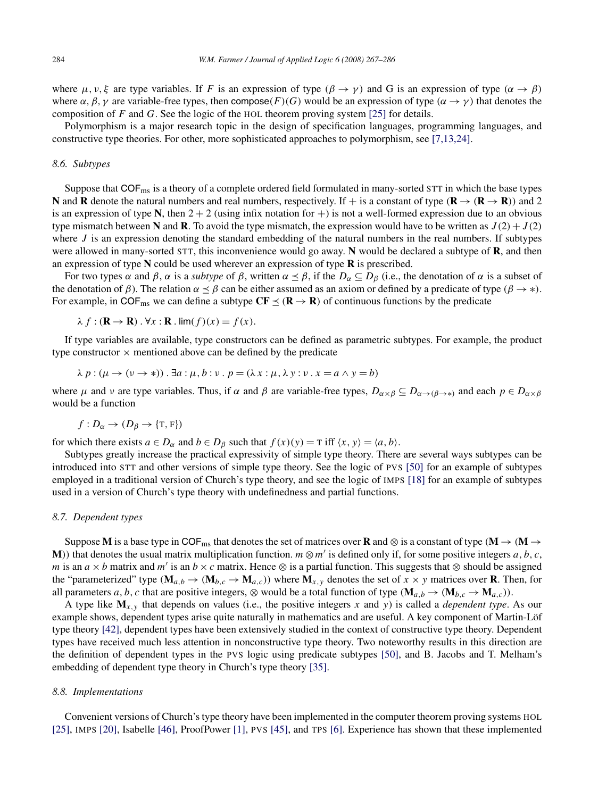where  $\mu, \nu, \xi$  are type variables. If *F* is an expression of type  $(\beta \to \gamma)$  and G is an expression of type  $(\alpha \to \beta)$ where  $\alpha$ ,  $\beta$ ,  $\gamma$  are variable-free types, then compose(F)(G) would be an expression of type  $(\alpha \rightarrow \gamma)$  that denotes the composition of *F* and *G*. See the logic of the HOL theorem proving system [\[25\]](#page-19-0) for details.

Polymorphism is a major research topic in the design of specification languages, programming languages, and constructive type theories. For other, more sophisticated approaches to polymorphism, see [\[7,13,24\].](#page-18-0)

#### *8.6. Subtypes*

Suppose that COFms is a theory of a complete ordered field formulated in many-sorted STT in which the base types **N** and **R** denote the natural numbers and real numbers, respectively. If  $+$  is a constant of type  $(\mathbf{R} \to (\mathbf{R} \to \mathbf{R}))$  and 2 is an expression of type N, then  $2 + 2$  (using infix notation for  $+)$  is not a well-formed expression due to an obvious type mismatch between **N** and **R**. To avoid the type mismatch, the expression would have to be written as  $J(2) + J(2)$ where  $J$  is an expression denoting the standard embedding of the natural numbers in the real numbers. If subtypes were allowed in many-sorted STT, this inconvenience would go away. **N** would be declared a subtype of **R**, and then an expression of type **N** could be used wherever an expression of type **R** is prescribed.

For two types *α* and *β*, *α* is a *subtype* of *β*, written  $\alpha \leq \beta$ , if the  $D_{\alpha} \subseteq D_{\beta}$  (i.e., the denotation of *α* is a subset of the denotation of  $\beta$ ). The relation  $\alpha \leq \beta$  can be either assumed as an axiom or defined by a predicate of type  $(\beta \to *)$ . For example, in COF<sub>ms</sub> we can define a subtype  $CF \leq (R \rightarrow R)$  of continuous functions by the predicate

$$
\lambda f: (\mathbf{R} \to \mathbf{R}) \cdot \forall x: \mathbf{R} \cdot \lim(f)(x) = f(x).
$$

If type variables are available, type constructors can be defined as parametric subtypes. For example, the product type constructor  $\times$  mentioned above can be defined by the predicate

$$
\lambda p : (\mu \to (\nu \to *)).
$$
  $\exists a : \mu, b : \nu \cdot p = (\lambda x : \mu, \lambda y : \nu \cdot x = a \wedge y = b)$ 

where  $\mu$  and  $\nu$  are type variables. Thus, if  $\alpha$  and  $\beta$  are variable-free types,  $D_{\alpha \times \beta} \subseteq D_{\alpha \to (\beta \to \ast)}$  and each  $p \in D_{\alpha \times \beta}$ would be a function

$$
f: D_{\alpha} \to (D_{\beta} \to \{\text{T}, \text{F}\})
$$

for which there exists  $a \in D_{\alpha}$  and  $b \in D_{\beta}$  such that  $f(x)(y) = \text{T}$  iff  $\langle x, y \rangle = \langle a, b \rangle$ .

Subtypes greatly increase the practical expressivity of simple type theory. There are several ways subtypes can be introduced into STT and other versions of simple type theory. See the logic of PVS [\[50\]](#page-19-0) for an example of subtypes employed in a traditional version of Church's type theory, and see the logic of IMPS [\[18\]](#page-19-0) for an example of subtypes used in a version of Church's type theory with undefinedness and partial functions.

### *8.7. Dependent types*

Suppose **M** is a base type in COF<sub>ms</sub> that denotes the set of matrices over **R** and ⊗ is a constant of type  $(M \rightarrow (M \rightarrow$ **M**)) that denotes the usual matrix multiplication function.  $m \otimes m'$  is defined only if, for some positive integers  $a, b, c$ , *m* is an  $a \times b$  matrix and *m'* is an  $b \times c$  matrix. Hence ⊗ is a partial function. This suggests that ⊗ should be assigned the "parameterized" type  $(M_{a,b} \to (M_{b,c} \to M_{a,c}))$  where  $M_{x,y}$  denotes the set of  $x \times y$  matrices over **R**. Then, for all parameters *a, b, c* that are positive integers,  $\otimes$  would be a total function of type  $(\mathbf{M}_{a,b} \to (\mathbf{M}_{b,c} \to \mathbf{M}_{a,c}))$ .

A type like  $M_{x,y}$  that depends on values (i.e., the positive integers x and y) is called a *dependent type*. As our example shows, dependent types arise quite naturally in mathematics and are useful. A key component of Martin-Löf type theory [\[42\],](#page-19-0) dependent types have been extensively studied in the context of constructive type theory. Dependent types have received much less attention in nonconstructive type theory. Two noteworthy results in this direction are the definition of dependent types in the PVS logic using predicate subtypes [\[50\],](#page-19-0) and B. Jacobs and T. Melham's embedding of dependent type theory in Church's type theory [\[35\].](#page-19-0)

## *8.8. Implementations*

Convenient versions of Church's type theory have been implemented in the computer theorem proving systems HOL [\[25\],](#page-19-0) IMPS [\[20\],](#page-19-0) Isabelle [\[46\],](#page-19-0) ProofPower [\[1\],](#page-18-0) PVS [\[45\],](#page-19-0) and TPS [\[6\].](#page-18-0) Experience has shown that these implemented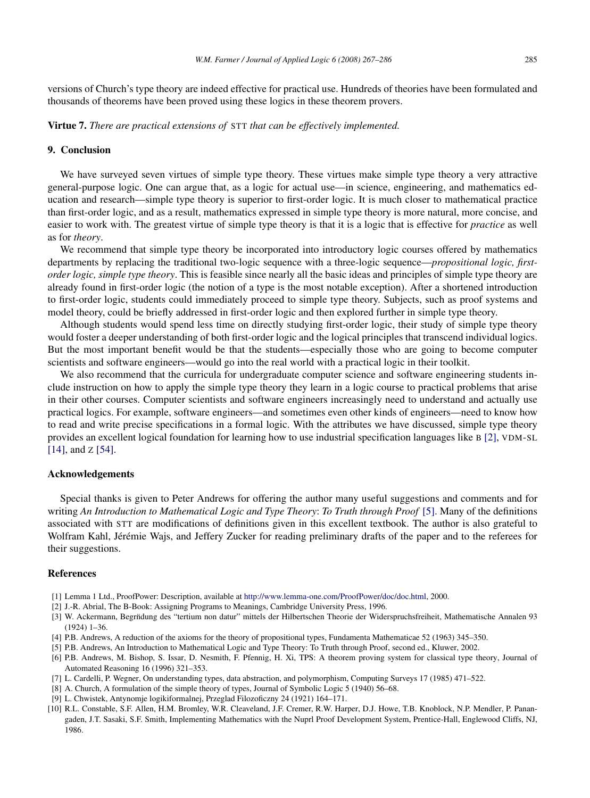<span id="page-18-0"></span>versions of Church's type theory are indeed effective for practical use. Hundreds of theories have been formulated and thousands of theorems have been proved using these logics in these theorem provers.

**Virtue 7.** *There are practical extensions of* STT *that can be effectively implemented.*

## **9. Conclusion**

We have surveyed seven virtues of simple type theory. These virtues make simple type theory a very attractive general-purpose logic. One can argue that, as a logic for actual use—in science, engineering, and mathematics education and research—simple type theory is superior to first-order logic. It is much closer to mathematical practice than first-order logic, and as a result, mathematics expressed in simple type theory is more natural, more concise, and easier to work with. The greatest virtue of simple type theory is that it is a logic that is effective for *practice* as well as for *theory*.

We recommend that simple type theory be incorporated into introductory logic courses offered by mathematics departments by replacing the traditional two-logic sequence with a three-logic sequence—*propositional logic, firstorder logic, simple type theory*. This is feasible since nearly all the basic ideas and principles of simple type theory are already found in first-order logic (the notion of a type is the most notable exception). After a shortened introduction to first-order logic, students could immediately proceed to simple type theory. Subjects, such as proof systems and model theory, could be briefly addressed in first-order logic and then explored further in simple type theory.

Although students would spend less time on directly studying first-order logic, their study of simple type theory would foster a deeper understanding of both first-order logic and the logical principles that transcend individual logics. But the most important benefit would be that the students—especially those who are going to become computer scientists and software engineers—would go into the real world with a practical logic in their toolkit.

We also recommend that the curricula for undergraduate computer science and software engineering students include instruction on how to apply the simple type theory they learn in a logic course to practical problems that arise in their other courses. Computer scientists and software engineers increasingly need to understand and actually use practical logics. For example, software engineers—and sometimes even other kinds of engineers—need to know how to read and write precise specifications in a formal logic. With the attributes we have discussed, simple type theory provides an excellent logical foundation for learning how to use industrial specification languages like B [2], VDM-SL [\[14\],](#page-19-0) and *z* [\[54\].](#page-19-0)

#### **Acknowledgements**

Special thanks is given to Peter Andrews for offering the author many useful suggestions and comments and for writing *An Introduction to Mathematical Logic and Type Theory*: *To Truth through Proof* [5]. Many of the definitions associated with STT are modifications of definitions given in this excellent textbook. The author is also grateful to Wolfram Kahl, Jérémie Wajs, and Jeffery Zucker for reading preliminary drafts of the paper and to the referees for their suggestions.

## **References**

- [1] Lemma 1 Ltd., ProofPower: Description, available at <http://www.lemma-one.com/ProofPower/doc/doc.html>, 2000.
- [2] J.-R. Abrial, The B-Book: Assigning Programs to Meanings, Cambridge University Press, 1996.
- [3] W. Ackermann, Begrndung des "tertium non datur" mittels der Hilbertschen Theorie der Widerspruchsfreiheit, Mathematische Annalen 93 (1924) 1–36.
- [4] P.B. Andrews, A reduction of the axioms for the theory of propositional types, Fundamenta Mathematicae 52 (1963) 345–350.
- [5] P.B. Andrews, An Introduction to Mathematical Logic and Type Theory: To Truth through Proof, second ed., Kluwer, 2002.
- [6] P.B. Andrews, M. Bishop, S. Issar, D. Nesmith, F. Pfennig, H. Xi, TPS: A theorem proving system for classical type theory, Journal of Automated Reasoning 16 (1996) 321–353.
- [7] L. Cardelli, P. Wegner, On understanding types, data abstraction, and polymorphism, Computing Surveys 17 (1985) 471–522.
- [8] A. Church, A formulation of the simple theory of types, Journal of Symbolic Logic 5 (1940) 56–68.
- [9] L. Chwistek, Antynomje logikiformalnej, Przeglad Filozoficzny 24 (1921) 164–171.
- [10] R.L. Constable, S.F. Allen, H.M. Bromley, W.R. Cleaveland, J.F. Cremer, R.W. Harper, D.J. Howe, T.B. Knoblock, N.P. Mendler, P. Panangaden, J.T. Sasaki, S.F. Smith, Implementing Mathematics with the Nuprl Proof Development System, Prentice-Hall, Englewood Cliffs, NJ, 1986.